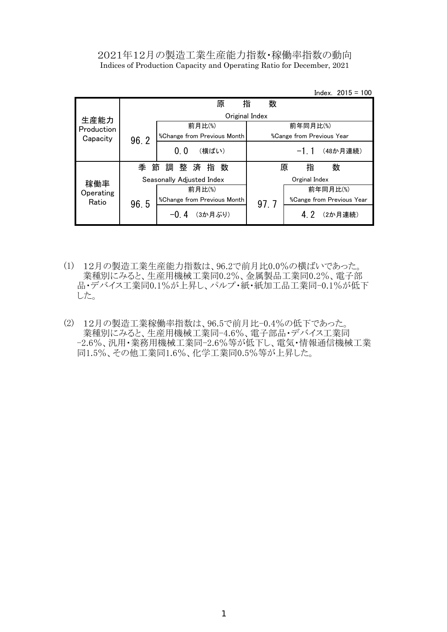## 2021年12月の製造工業生産能力指数・稼働率指数の動向 Indices of Production Capacity and Operating Ratio for December, 2021

Index. 2015 = 100

|                  |        | 原                           | 数<br>指 |                                         |                                         |
|------------------|--------|-----------------------------|--------|-----------------------------------------|-----------------------------------------|
| 生産能力             |        | Original Index              |        |                                         |                                         |
| Production       |        | 前月比(%)                      |        | 前年同月比(%)                                |                                         |
| Capacity         | 96.2   | %Change from Previous Month |        | <i><b>%Cange from Previous Year</b></i> |                                         |
|                  |        | 0.0<br>(横ばい)                |        | $-1 \; 1$                               | (48か月連続)                                |
|                  | 季<br>節 | 調整済指数                       |        | 指<br>原                                  | 数                                       |
| 稼働率<br>Operating |        | Seasonally Adjusted Index   |        | Orginal Index                           |                                         |
|                  |        | 前月比(%)                      |        |                                         | 前年同月比(%)                                |
| Ratio            | 96.5   | %Change from Previous Month | 97.7   |                                         | <i><b>%Cange from Previous Year</b></i> |
|                  |        | (3か月ぶり)                     |        |                                         | (2か月連続)                                 |

- (1) 12月の製造工業生産能力指数は、96.2で前月比0.0%の横ばいであった。 業種別にみると、生産用機械工業同0.2%、金属製品工業同0.2%、電子部 品・デバイス工業同0.1%が上昇し、パルプ・紙・紙加工品工業同-0.1%が低下 した。
- (2) 12月の製造工業稼働率指数は、96.5で前月比-0.4%の低下であった。 業種別にみると、生産用機械工業同-4.6%、電子部品・デバイス工業同 -2.6%、汎用・業務用機械工業同-2.6%等が低下し、電気・情報通信機械工業 同1.5%、その他工業同1.6%、化学工業同0.5%等が上昇した。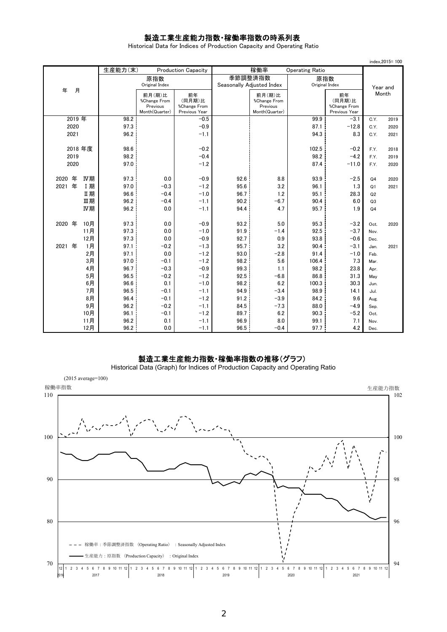# 製造工業生産能力指数・稼働率指数の時系列表

Historical Data for Indices of Production Capacity and Operating Ratio

|                   |     |         |                                                      |                                               |              |                                                      |                        |                                               |                | index, 2015=100 |
|-------------------|-----|---------|------------------------------------------------------|-----------------------------------------------|--------------|------------------------------------------------------|------------------------|-----------------------------------------------|----------------|-----------------|
|                   |     | 生産能力(末) |                                                      | <b>Production Capacity</b>                    |              | 稼働率                                                  | <b>Operating Ratio</b> |                                               |                |                 |
|                   |     |         | 原指数                                                  |                                               |              | 季節調整済指数                                              | 原指数                    |                                               |                |                 |
| 年                 |     |         | Original Index                                       |                                               |              | Seasonally Adjusted Index                            | Original Index         |                                               |                | Year and        |
| 月                 |     |         | 前月(期)比<br>%Change From<br>Previous<br>Month(Quarter) | 前年<br>(同月期)比<br>%Change From<br>Previous Year |              | 前月(期)比<br>%Change From<br>Previous<br>Month(Quarter) |                        | 前年<br>(同月期)比<br>%Change From<br>Previous Year |                | Month           |
| 2019年             |     | 98.2    |                                                      | $-0.5$                                        |              |                                                      | 99.9                   | $-3.1$                                        | C.Y.           | 2019            |
| 2020              |     | 97.3    |                                                      | $-0.9$                                        |              |                                                      | 87.1                   | $-12.8$                                       | C.Y.           | 2020            |
| 2021              |     | 96.2    |                                                      | $-1.1$                                        |              |                                                      | 94.3                   | 8.3                                           | C.Y.           | 2021            |
|                   |     |         |                                                      |                                               |              |                                                      |                        |                                               |                |                 |
| 2018年度            |     | 98.6    |                                                      | $-0.2$                                        |              |                                                      | 102.5                  | $-0.2$                                        | F.Y.           | 2018            |
| 2019              |     | 98.2    |                                                      | $-0.4$                                        |              |                                                      | 98.2                   | $-4.2$                                        | F.Y.           | 2019            |
| 2020              |     | 97.0    |                                                      | $-1.2$                                        |              |                                                      | 87.4                   | $-11.0$                                       | F.Y.           | 2020            |
| 年                 | IV期 | 97.3    | 0.0                                                  | $-0.9$                                        |              |                                                      | 93.9                   |                                               |                |                 |
| 2020<br>年<br>2021 | I期  | 97.0    | $-0.3$                                               | $-1.2$                                        | 92.6<br>95.6 | 8.8<br>3.2                                           | 96.1                   | $-2.5$                                        | Q <sub>4</sub> | 2020            |
|                   | Ⅱ期  | 96.6    | $-0.4$                                               | $-1.0$                                        | 96.7         | 1.2                                                  | 95.1                   | 1.3<br>28.3                                   | Q1<br>Q2       | 2021            |
|                   | Ⅲ期  | 96.2    | $-0.4$                                               | $-1.1$                                        | 90.2         | $-6.7$                                               | 90.4                   | 6.0                                           | Q3             |                 |
|                   | IV期 | 96.2    | 0.0                                                  | $-1.1$                                        | 94.4         | 4.7                                                  | 95.7                   | 1.9                                           | Q <sub>4</sub> |                 |
|                   |     |         |                                                      |                                               |              |                                                      |                        |                                               |                |                 |
| 2020 年            | 10月 | 97.3    | 0.0                                                  | $-0.9$                                        | 93.2         | 5.0                                                  | 95.3                   | $-3.2$                                        | Oct.           | 2020            |
|                   | 11月 | 97.3    | 0.0                                                  | $-1.0$                                        | 91.9         | $-1.4$                                               | 92.5                   | $-3.7$                                        | Nov.           |                 |
|                   | 12月 | 97.3    | 0.0                                                  | $-0.9$                                        | 92.7         | 0.9                                                  | 93.8                   | $-0.6$                                        | Dec.           |                 |
| 2021<br>年         | 1月  | 97.1    | $-0.2$                                               | $-1.3$                                        | 95.7         | 3.2                                                  | 90.4                   | $-3.1$                                        | Jan.           | 2021            |
|                   | 2月  | 97.1    | 0.0                                                  | $-1.2$                                        | 93.0         | $-2.8$                                               | 91.4                   | $-1.0$                                        | Feb.           |                 |
|                   | 3月  | 97.0    | $-0.1$                                               | $-1.2$                                        | 98.2         | 5.6                                                  | 106.4                  | 7.3                                           | Mar.           |                 |
|                   | 4月  | 96.7    | $-0.3$                                               | $-0.9$                                        | 99.3         | 1.1                                                  | 98.2                   | 23.8                                          | Apr.           |                 |
|                   | 5月  | 96.5    | $-0.2$                                               | $-1.2$                                        | 92.5         | $-6.8$                                               | 86.8                   | 31.3                                          | May            |                 |
|                   | 6月  | 96.6    | 0.1                                                  | $-1.0$                                        | 98.2         | 6.2                                                  | 100.3                  | 30.3                                          | Jun.           |                 |
|                   | 7月  | 96.5    | $-0.1$                                               | $-1.1$                                        | 94.9         | $-3.4$                                               | 98.9                   | 14.1                                          | Jul.           |                 |
|                   | 8月  | 96.4    | $-0.1$                                               | $-1.2$                                        | 91.2         | $-3.9$                                               | 84.2                   | 9.6                                           | Aug.           |                 |
|                   | 9月  | 96.2    | $-0.2$                                               | $-1.1$                                        | 84.5         | $-7.3$                                               | 88.0                   | $-4.9$                                        | Sep.           |                 |
|                   | 10月 | 96.1    | $-0.1$                                               | $-1.2$                                        | 89.7         | 6.2                                                  | 90.3                   | $-5.2$                                        | Oct.           |                 |
|                   | 11月 | 96.2    | 0.1                                                  | $-1.1$                                        | 96.9         | 8.0                                                  | 99.1                   | 7.1                                           | Nov.           |                 |
|                   | 12月 | 96.2    | 0.0                                                  | $-1.1$                                        | 96.5         | $-0.4$                                               | 97.7                   | 4.2                                           | Dec.           |                 |

### 製造工業生産能力指数・稼働率指数の推移(グラフ)

94 96 98 100  $\frac{102}{2}$ 70 80 90 100 110  $12$  1 2 3 4 5 6 7 8 9 10 11 12 1 2 3 4 5 6 7 8 9 10 11 12 1 2 3 4 5 6 7 8 9 10 11 12 1 2 3 4 5 6 7 8 9 10 11 12 1 2 3 4 5 6 7 8 9 10 11 12 稼働率指数 さんしょう しょうしょう しょうしょう しょうしょく しゅうしょく かんしゅう かんしゅう かんしゅう 生産能力指数 (2015 average=100) 稼働率:季節調整済指数 (Operating Ratio) :Seasonally Adjusted Index 生産能力:原指数 (Production Capacity) :Original Index

Historical Data (Graph) for Indices of Production Capacity and Operating Ratio

2016 2017 2018 2019 2020 2021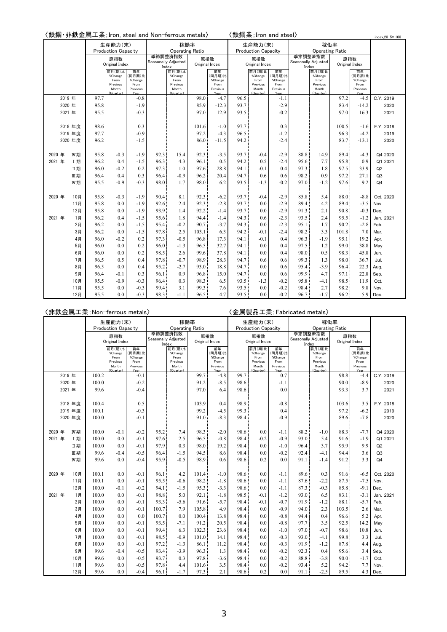|        |        |            |      |                            |                         | 〈鉄鋼・非鉄金属工業; Iron, steel and Non-ferrous metals〉 |                                |                |                 |      | 〈鉄鋼業;Iro <u>n and steel</u> 〉      |                  |                     |                    |                        |                         | index, 2015=100 |
|--------|--------|------------|------|----------------------------|-------------------------|-------------------------------------------------|--------------------------------|----------------|-----------------|------|------------------------------------|------------------|---------------------|--------------------|------------------------|-------------------------|-----------------|
|        |        |            |      | 生産能力(末)                    |                         |                                                 | 稼働率                            |                |                 |      | 生産能力(末)                            |                  |                     |                    | 稼働率                    |                         |                 |
|        |        |            |      | <b>Production Capacity</b> |                         |                                                 | <b>Operating Ratio</b>         |                |                 |      | <b>Production Capacity</b>         |                  |                     |                    | <b>Operating Ratio</b> |                         |                 |
|        |        |            |      | 原指数<br>Original Index      |                         |                                                 | 季節調整済指数<br>Seasonally Adjusted | Original Index | 原指数             |      | 原指数<br>Original Index              |                  | Seasonally Adjusted | 季節調整済指数            | Original Index         | 原指数                     |                 |
|        |        |            |      | 前月(期)比                     | 前年                      | Index                                           | 前月(期)比                         |                | 前年              |      | 前月(期)比                             | 前年               | Index               | 前月(期)比             |                        | 前年                      |                 |
|        |        |            |      | %Change                    | (同月期)比                  |                                                 | %Change                        |                | 同月期)比           |      | %Change                            | (同月期)比           |                     | %Change            |                        | (同月期)比                  |                 |
|        |        |            |      | From<br>Previous           | %Change<br>From         |                                                 | From<br>Previous               |                | %Change<br>From |      | From<br>Previous                   | %Change<br>From  |                     | From<br>Previous   |                        | %Change<br>From         |                 |
|        |        |            |      | Month<br>(Quarter)         | Previous<br><b>Yesi</b> |                                                 | Month<br>(Quarter)             |                | Previous        |      | Month<br>$(\cap_{\text{inartar}})$ | Previous<br>Year |                     | Month<br>(Quarter) |                        | Previous<br><b>Yesi</b> |                 |
|        | 2019 年 |            | 97.7 |                            | $-0.8$                  |                                                 |                                | 98.0           | $-4.7$          | 96.5 |                                    | $-1.1$           |                     |                    | 97.2                   | $-4.5$                  | C.Y. 2019       |
|        | 2020 年 |            | 95.8 |                            | $-1.9$                  |                                                 |                                | 85.9           | $-12.3$         | 93.7 |                                    | $-2.9$           |                     |                    | 83.4                   | $-14.2$                 | 2020            |
|        | 2021 年 |            | 95.5 |                            | $-0.3$                  |                                                 |                                | 97.0           | 12.9            | 93.5 |                                    | $-0.2$           |                     |                    | 97.0                   | 16.3                    | 2021            |
|        |        |            |      |                            |                         |                                                 |                                |                |                 |      |                                    |                  |                     |                    |                        |                         |                 |
|        |        | 2018 年度    | 98.6 |                            | 0.3                     |                                                 |                                | 101.6          | $-1.0$          | 97.7 |                                    | 0.3              |                     |                    | 100.5                  | $-1.6$                  | F.Y. 2018       |
|        |        | 2019 年度    | 97.7 |                            | $-0.9$                  |                                                 |                                | 97.2           | $-4.3$          | 96.5 |                                    | $-1.2$           |                     |                    | 96.3                   | $-4.2$                  | 2019            |
|        |        | 2020 年度    | 96.2 |                            | $-1.5$                  |                                                 |                                | 86.0           | $-11.5$         | 94.2 |                                    | $-2.4$           |                     |                    | 83.7                   | $-13.1$                 | 2020            |
|        |        |            |      |                            |                         |                                                 |                                |                |                 |      |                                    |                  |                     |                    |                        |                         |                 |
| 2020 年 |        | IV期        | 95.8 | $-0.3$                     | $-1.9$                  | 92.3                                            | 15.4                           | 92.3           | $-3.5$          | 93.7 | $-0.4$                             | $-2.9$           | 88.8                | 14.9               | 89.4                   | $-4.3$                  | Q4 2020         |
| 2021 年 |        | <b>I</b> 期 | 96.2 | 0.4                        | $-1.5$                  | 96.3                                            | 4.3                            | 96.1           | 0.5             | 94.2 | 0.5                                | $-2.4$           | 95.6                | 7.7                | 95.8                   | 0.9                     | Q1 2021         |
|        |        | Ⅱ期         | 96.0 | $-0.2$                     | 0.2                     | 97.3                                            | 1.0                            | 97.6           | 28.8            | 94.1 | $-0.1$                             | 0.4              | 97.3                | 1.8                | 97.5                   | 33.9                    | Q2              |
|        |        | 皿期         | 96.4 | 0.4<br>$-0.9$              | 0.3                     | 96.4                                            | $-0.9$<br>1.7                  | 96.2           | 20.4            | 94.7 | 0.6                                | 0.6              | 98.2                | 0.9                | 97.2                   | 27.1<br>9.2             | Q3              |
|        |        | IV期        | 95.5 |                            | $-0.3$                  | 98.0                                            |                                | 98.0           | 6.2             | 93.5 | $-1.3$                             | $-0.2$           | 97.0                | $-1.2$             | 97.6                   |                         | Q <sub>4</sub>  |
| 2020 年 |        | 10月        | 95.8 | $-0.3$                     | $-1.9$                  | 90.4                                            | 8.1                            | 92.3           | $-6.2$          | 93.7 | $-0.4$                             | $-2.9$           | 85.8                | 5.4                | 88.0                   | $-8.8$                  | Oct. 2020       |
|        |        | 11月        | 95.8 | 0.0                        | $-1.9$                  | 92.6                                            | 2.4                            | 92.3           | $-2.8$          | 93.7 | 0.0                                | $-2.9$           | 89.4                | 4.2                | 89.4                   | $-3.5$                  | Nov.            |
|        |        | 12月        | 95.8 | 0.0                        | $-1.9$                  | 93.9                                            | 1.4                            | 92.2           | $-1.4$          | 93.7 | 0.0                                | $-2.9$           | 91.3                | 2.1                | 90.8                   | $-0.3$                  | Dec.            |
| 2021 年 |        | 1月         | 96.2 | 0.4                        | $-1.5$                  | 95.6                                            | 1.8                            | 94.4           | $-1.4$          | 94.3 | 0.6                                | $-2.3$           | 93.5                | 2.4                | 95.5                   | $-1.2$                  | Jan. 2021       |
|        |        | 2月         | 96.2 | 0.0                        | $-1.5$                  | 95.4                                            | $-0.2$                         | 90.7           | $-3.7$          | 94.3 | 0.0                                | $-2.3$           | 95.1                | 1.7                | 90.2                   | $-2.8$                  | Feb.            |
|        |        | 3月         | 96.2 | 0.0                        | $-1.5$                  | 97.8                                            | 2.5                            | 103.1          | 6.3             | 94.2 | $-0.1$                             | $-2.4$           | 98.2                | 3.3                | 101.8                  | 7.0                     | Mar.            |
|        |        | 4月         | 96.0 | $-0.2$                     | 0.2                     | 97.3                                            | $-0.5$                         | 96.8           | 17.3            | 94.1 | $-0.1$                             | 0.4              | 96.3                | $-1.9$             | 95.1                   | 19.2                    | Apr.            |
|        |        | 5月         | 96.0 | 0.0                        | 0.2                     | 96.0                                            | $-1.3$                         | 96.5           | 32.7            | 94.1 | 0.0                                | 0.4              | 97.5                | 1.2                | 99.0                   | 38.8                    | May             |
|        |        | 6月         | 96.0 | 0.0                        | 0.2                     | 98.5                                            | 2.6                            | 99.6           | 37.8            | 94.1 | 0.0                                | 0.4              | 98.0                | 0.5                | 98.3                   | 45.8                    | Jun.            |
|        |        | 7月         | 96.5 | 0.5                        | 0.4                     | 97.8                                            | $-0.7$                         | 98.9           | 28.3            | 94.7 | 0.6                                | 0.6              | 99.3                | 1.3                | 98.0                   | 36.7                    | Jul.            |
|        |        | 8月         | 96.5 | 0.0                        | 0.4                     | 95.2                                            | $-2.7$                         | 93.0           | 18.8            | 94.7 | 0.0                                | 0.6              | 95.4                | $-3.9$             | 96.4                   | 22.3                    | Aug.            |
|        |        | 9月         | 96.4 | $-0.1$                     | 0.3                     | 96.1                                            | 0.9                            | 96.8           | 15.0            | 94.7 | 0.0                                | 0.6              | 99.9                | 4.7                | 97.1                   | 22.8                    | Sep.            |
|        |        | 10月        | 95.5 | $-0.9$                     | $-0.3$                  | 96.4                                            | 0.3                            | 98.3           | 6.5             | 93.5 | $-1.3$                             | $-0.2$           | 95.8                | $-4.1$             | 98.5                   | 11.9                    | Oct.            |
|        |        | 11月        | 95.5 | 0.0                        | $-0.3$                  | 99.4                                            | 3.1                            | 99.3           | 7.6             | 93.5 | 0.0                                | $-0.2$           | 98.4                | 2.7                | 98.2                   | 9.8                     | Nov.            |
|        |        | 12月        | 95.5 | 0.0                        | $-0.3$                  | 98.3                                            | $-1.1$                         | 96.5           | 4.7             | 93.5 | 0.0                                | $-0.2$           | 96.7                | $-1.7$             | 96.2                   | 5.9                     | Dec.            |

## 〈非鉄金属工業;Non-ferrous metals〉 〈金属製品工業;Fabricated metals〉

|        |           | 生産能力(末)<br><b>Production Capacity</b> |                                                             |                                                     |                  | 稼働率<br><b>Operating Ratio</b>                               |                       |                                                    |      | 生産能力(末)<br><b>Production Capacity</b>                       |                                                     |      | 稼働率<br><b>Operating Ratio</b>                               |                       |                                                    |                |
|--------|-----------|---------------------------------------|-------------------------------------------------------------|-----------------------------------------------------|------------------|-------------------------------------------------------------|-----------------------|----------------------------------------------------|------|-------------------------------------------------------------|-----------------------------------------------------|------|-------------------------------------------------------------|-----------------------|----------------------------------------------------|----------------|
|        |           |                                       | 原指数<br>Original Index                                       |                                                     | 季節調整済指数<br>Index | Seasonally Adjusted                                         | 原指数<br>Original Index |                                                    |      | 原指数<br>Original Index                                       |                                                     |      | 季節調整済指数<br>Seasonally Adjusted<br>Index                     | 原指数<br>Original Index |                                                    |                |
|        |           |                                       | 前月(期)比<br>%Change<br>From<br>Previous<br>Month<br>(Quarter) | 前年<br>(同月期)比<br>%Change<br>From<br>Previous<br>Year |                  | 前月(期)比<br>%Change<br>From<br>Previous<br>Month<br>(Quarter) |                       | 前年<br>同月期)比<br>%Change<br>From<br>Previous<br>Year |      | 前月(期)比<br>%Change<br>From<br>Previous<br>Month<br>(Quarter) | 前年<br>(同月期)比<br>%Change<br>From<br>Previous<br>Year |      | 前月(期)比<br>%Change<br>From<br>Previous<br>Month<br>(Quarter) |                       | 前年<br>同月期)比<br>%Change<br>From<br>Previous<br>Year |                |
|        | 2019 年    | 100.2                                 |                                                             | $-0.1$                                              |                  |                                                             | 99.7                  | $-4.8$                                             | 99.7 |                                                             | 0.7                                                 |      |                                                             | 98.8                  | $-4.4$                                             | C.Y. 2019      |
|        | 2020 年    | 100.0                                 |                                                             | $-0.2$                                              |                  |                                                             | 91.2                  | $-8.5$                                             | 98.6 |                                                             | $-1.1$                                              |      |                                                             | 90.0                  | $-8.9$                                             | 2020           |
|        | 2021 年    | 99.6                                  |                                                             | $-0.4$                                              |                  |                                                             | 97.0                  | 6.4                                                | 98.6 |                                                             | 0.0                                                 |      |                                                             | 93.3                  | 3.7                                                | 2021           |
|        |           |                                       |                                                             |                                                     |                  |                                                             |                       |                                                    |      |                                                             |                                                     |      |                                                             |                       |                                                    |                |
|        | 2018 年度   | 100.4                                 |                                                             | 0.5                                                 |                  |                                                             | 103.9                 | 0.4                                                | 98.9 |                                                             | $-0.8$                                              |      |                                                             | 103.6                 | 3.5                                                | F.Y. 2018      |
|        | 2019 年度   | 100.1                                 |                                                             | $-0.3$                                              |                  |                                                             | 99.2                  | $-4.5$                                             | 99.3 |                                                             | 0.4                                                 |      |                                                             | 97.2                  | $-6.2$                                             | 2019           |
|        | 2020 年度   | 100.0                                 |                                                             | $-0.1$                                              |                  |                                                             | 91.0                  | $-8.3$                                             | 98.4 |                                                             | $-0.9$                                              |      |                                                             | 89.6                  | $-7.8$                                             | 2020           |
|        |           |                                       |                                                             |                                                     |                  |                                                             |                       |                                                    |      |                                                             |                                                     |      |                                                             |                       |                                                    |                |
| 2020 年 | IV期       | 100.0                                 | $-0.1$                                                      | $-0.2$                                              | 95.2             | 7.4                                                         | 98.3                  | $-2.0$                                             | 98.6 | 0.0                                                         | $-1.1$                                              | 88.2 | $-1.0$                                                      | 88.3                  | $-7.7$                                             | Q4 2020        |
| 2021 年 | <b>I期</b> | 100.0                                 | 0.0                                                         | $-0.1$                                              | 97.6             | 2.5                                                         | 96.5                  | $-0.8$                                             | 98.4 | $-0.2$                                                      | $-0.9$                                              | 93.0 | 5.4                                                         | 91.6                  | $-1.9$                                             | Q1 2021        |
|        | Ⅱ期        | 100.0                                 | 0.0                                                         | $-0.1$                                              | 97.9             | 0.3                                                         | 98.0                  | 19.2                                               | 98.4 | 0.0                                                         | $-1.0$                                              | 96.4 | 3.7                                                         | 95.9                  | 9.9                                                | Q2             |
|        | 皿期        | 99.6                                  | $-0.4$                                                      | $-0.5$                                              | 96.4             | $-1.5$                                                      | 94.5                  | 8.6                                                | 98.4 | 0.0                                                         | $-0.2$                                              | 92.4 | $-4.1$                                                      | 94.4                  | 3.6                                                | Q <sub>3</sub> |
|        | IV期       | 99.6                                  | 0.0                                                         | $-0.4$                                              | 95.9             | $-0.5$                                                      | 98.9                  | $0.6^{\circ}$                                      | 98.6 | 0.2                                                         | 0.0                                                 | 91.1 | $-1.4$                                                      | 91.2                  | 3.3                                                | Q <sub>4</sub> |
| 2020 年 | 10月       | 100.1                                 | 0.0                                                         | $-0.1$                                              | 96.1             | 4.2                                                         | 101.4                 | $-1.0$                                             | 98.6 | 0.0                                                         | $-1.1$                                              | 89.6 | 0.3                                                         | 91.6                  | $-6.5$                                             | Oct. 2020      |
|        | 11月       | 100.1                                 | 0.0                                                         | $-0.1$                                              | 95.5             | $-0.6$                                                      | 98.2                  | $-1.8$                                             | 98.6 | 0.0                                                         | $-1.1$                                              | 87.6 | $-2.2$                                                      | 87.5                  | $-7.5$                                             | Nov.           |
|        | 12月       | 100.0                                 | $-0.1$                                                      | $-0.2$                                              | 94.1             | $-1.5$                                                      | 95.3                  | $-3.3$                                             | 98.6 | 0.0                                                         | $-1.1$                                              | 87.3 | $-0.3$                                                      | 85.8                  | $-9.1$                                             | Dec.           |
| 2021 年 | 1月        | 100.0                                 | 0.0                                                         | $-0.1$                                              | 98.8             | 5.0                                                         | 92.1                  | $-1.8$                                             | 98.5 | $-0.1$                                                      | $-1.2$                                              | 93.0 | 6.5                                                         | 83.1                  | $-3.1$                                             | Jan. 2021      |
|        | 2月        | 100.0                                 | 0.0                                                         | $-0.1$                                              | 93.3             | $-5.6$                                                      | 91.6                  | $-5.7$                                             | 98.4 | $-0.1$                                                      | $-0.7$                                              | 91.9 | $-1.2$                                                      | 88.1                  | $-5.7$                                             | Feb.           |
|        | 3月        | 100.0                                 | 0.0                                                         | $-0.1$                                              | 100.7            | 7.9                                                         | 105.8                 | 4.9                                                | 98.4 | 0.0                                                         | $-0.9$                                              | 94.0 | 2.3                                                         | 103.5                 | 2.6                                                | Mar.           |
|        | 4月        | 100.0                                 | 0.0                                                         | 0.0                                                 | 100.7            | 0.0                                                         | 100.4                 | 13.8                                               | 98.4 | 0.0                                                         | $-0.8$                                              | 94.4 | 0.4                                                         | 96.6                  | 5.2                                                | Apr.           |
|        | 5月        | 100.0                                 | 0.0                                                         | $-0.1$                                              | 93.5             | $-7.1$                                                      | 91.2                  | 20.5                                               | 98.4 | 0.0                                                         | $-0.8$                                              | 97.7 | 3.5                                                         | 92.5                  | 14.2                                               | May            |
|        | 6月        | 100.0                                 | 0.0                                                         | $-0.1$                                              | 99.4             | 6.3                                                         | 102.3                 | 23.6                                               | 98.4 | 0.0                                                         | $-1.0$                                              | 97.0 | $-0.7$                                                      | 98.6                  | 10.8                                               | Jun.           |
|        | 7月        | 100.0                                 | 0.0                                                         | $-0.1$                                              | 98.5             | $-0.9$                                                      | 101.0                 | 14.1                                               | 98.4 | 0.0                                                         | $-0.3$                                              | 93.0 | $-4.1$                                                      | 99.8                  | 3.3                                                | Jul.           |
|        | 8月        | 100.0                                 | 0.0                                                         | $-0.1$                                              | 97.2             | $-1.3$                                                      | 86.1                  | 11.2                                               | 98.4 | 0.0                                                         | $-0.3$                                              | 91.9 | $-1.2$                                                      | 87.8                  | 4.4                                                | Aug.           |
|        | 9月        | 99.6                                  | $-0.4$                                                      | $-0.5$                                              | 93.4             | $-3.9$                                                      | 96.3                  | 1.3                                                | 98.4 | 0.0                                                         | $-0.2$                                              | 92.3 | 0.4                                                         | 95.6                  | 3.4                                                | Sep.           |
|        | 10月       | 99.6                                  | 0.0                                                         | $-0.5$                                              | 93.7             | 0.3                                                         | 97.8                  | $-3.6$                                             | 98.4 | 0.0                                                         | $-0.2$                                              | 88.8 | $-3.8$                                                      | 90.0                  | $-1.7$                                             | Oct.           |
|        | 11月       | 99.6                                  | 0.0                                                         | $-0.5$                                              | 97.8             | 4.4                                                         | 101.6                 | 3.5                                                | 98.4 | 0.0                                                         | $-0.2$                                              | 93.4 | 5.2                                                         | 94.2                  | 7.7                                                | Nov.           |
|        | 12月       | 99.6                                  | 0.0                                                         | $-0.4$                                              | 96.1             | $-1.7$                                                      | 97.3                  | 2.1                                                | 98.6 | 0.2                                                         | 0.0                                                 | 91.1 | $-2.5$                                                      | 89.5                  | 4.3                                                | Dec.           |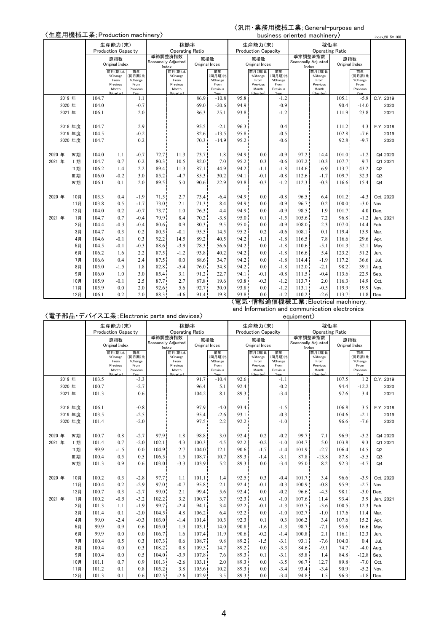### 〈汎用・業務用機械工業;General-purpose and business oriented machinery〉

| 〈生産用機械工業; Production machinery〉 |          |                |                            |                 |                     |                        |                |                 |              |                            |                  |                                    | business oriented machinery) |                |                 | index, 2015=100 |
|---------------------------------|----------|----------------|----------------------------|-----------------|---------------------|------------------------|----------------|-----------------|--------------|----------------------------|------------------|------------------------------------|------------------------------|----------------|-----------------|-----------------|
|                                 |          |                | 生産能力(末)                    |                 |                     | 稼働率                    |                |                 |              | 生産能力(末)                    |                  |                                    | 稼働率                          |                |                 |                 |
|                                 |          |                | <b>Production Capacity</b> |                 |                     | <b>Operating Ratio</b> |                |                 |              | <b>Production Capacity</b> |                  |                                    | <b>Operating Ratio</b>       |                |                 |                 |
|                                 |          |                | 原指数                        |                 | Seasonally Adjusted | 季節調整済指数                | 原指数            |                 |              | 原指数                        |                  | Seasonally Adjusted                | 季節調整済指数                      | 原指数            |                 |                 |
|                                 |          |                | Original Index             |                 | Index               |                        | Original Index |                 |              | Original Index             |                  | Index                              |                              | Original Index |                 |                 |
|                                 |          |                | 前月(期)比<br>%Change          | 前年<br>(同月期)比    |                     | 前月(期)比<br>%Change      |                | 前年<br>同月期)比     |              | 前月(期)比<br>%Change          | 前年<br>(同月期)比     |                                    | 前月(期)比<br>%Change            |                | 前年<br>(同月期)比    |                 |
|                                 |          |                | From<br>Previous           | %Change<br>From |                     | From<br>Previous       |                | %Change<br>From |              | From<br>Previous           | %Change<br>From  |                                    | From<br>Previous             |                | %Change<br>From |                 |
|                                 |          |                | Month                      | Previous        |                     | Month                  |                | Previous        |              | Month                      | Previous         |                                    | Month                        |                | Previous        |                 |
| 2019 年                          |          | 104.7          | (Quarter)                  | Vesr<br>1.1     |                     | (Quarter)              | 86.9           | Yea<br>$-10.8$  | 95.8         | (Quarter)                  | $-1.2$           |                                    | (Quarter)                    | 105.1          | Year<br>$-5.8$  | C.Y. 2019       |
| 2020 年                          |          | 104.0          |                            | $-0.7$          |                     |                        | 69.0           | $-20.6$         | 94.9         |                            | $-0.9$           |                                    |                              | 90.4           | $-14.0$         | 2020            |
| 2021 年                          |          | 106.1          |                            | 2.0             |                     |                        | 86.3           | 25.1            | 93.8         |                            | $-1.2$           |                                    |                              | 111.9          | 23.8            | 2021            |
|                                 |          |                |                            |                 |                     |                        |                |                 |              |                            |                  |                                    |                              |                |                 |                 |
|                                 | 2018 年度  | 104.7          |                            | 2.9             |                     |                        | 95.5           | $-2.1$          | 96.3         |                            | 0.4              |                                    |                              | 111.2          | 4.3             | F.Y. 2018       |
|                                 | 2019 年度  | 104.5          |                            | $-0.2$          |                     |                        | 82.6           | $-13.5$         | 95.8         |                            | $-0.5$           |                                    |                              | 102.8          | $-7.6$          | 2019            |
|                                 | 2020 年度  | 104.7          |                            | 0.2             |                     |                        | 70.3           | $-14.9$         | 95.2         |                            | $-0.6$           |                                    |                              | 92.8           | $-9.7$          | 2020            |
|                                 |          |                |                            |                 |                     |                        |                |                 |              |                            |                  |                                    |                              |                |                 |                 |
| 2020 年                          | IV期      | 104.0          | 1.1                        | $-0.7$          | 72.7                | 11.3                   | 73.7           | 1.8             | 94.9         | 0.0                        | $-0.9$           | 97.2                               | 14.4                         | 101.0          | $-1.2$          | Q4 2020         |
| 2021 年                          | I 期      | 104.7          | 0.7                        | 0.2             | 80.3                | 10.5                   | 82.0           | 7.0             | 95.2         | 0.3                        | $-0.6$           | 107.2                              | 10.3                         | 107.7          | 9.7             | Q1 2021         |
|                                 | Ⅱ期       | 106.2          | 1.4                        | 2.2             | 89.4                | 11.3                   | 87.1           | 44.9            | 94.2         | $-1.1$                     | $-1.8$           | 114.6                              | 6.9                          | 113.7          | 43.2            | Q2              |
|                                 | 皿期       | 106.0          | $-0.2$                     | 3.0             | 85.2                | $-4.7$                 | 85.3           | 30.2            | 94.1         | $-0.1$                     | $-0.8$           | 112.6                              | $-1.7$                       | 109.7          | 32.3            | Q3              |
|                                 | IV期      | 106.1          | 0.1                        | 2.0             | 89.5                | 5.0                    | 90.6           | 22.9            | 93.8         | $-0.3$                     | $-1.2$           | 112.3                              | $-0.3$                       | 116.6          | 15.4            | Q <sub>4</sub>  |
|                                 |          |                |                            |                 |                     |                        |                |                 |              |                            |                  |                                    |                              |                |                 |                 |
| 2020 年                          | 10月      | 103.3          | 0.4                        | $-1.9$          | 71.5                | 2.7                    | 73.4           | -6.4            | 94.9         | 0.0                        | $-0.8$           | 96.5                               | 6.4                          | 101.2          | $-4.3$          | Oct. 2020       |
|                                 | 11月      | 103.8          | 0.5                        | $-1.7$          | 73.0                | 2.1                    | 71.3           | 8.4             | 94.9         | 0.0                        | $-0.9$           | 96.7                               | 0.2                          | 100.0          | $-3.0$          | Nov.            |
|                                 | 12月      | 104.0          | 0.2                        | $-0.7$          | 73.7                | 1.0                    | 76.3           | 4.4             | 94.9         | 0.0                        | $-0.9$           | 98.5                               | 1.9                          | 101.7          | 4.0             | Dec.            |
| 2021 年                          | 1月       | 104.7          | 0.7                        | $-0.4$          | 79.9                | 8.4                    | 70.2           | $-3.8$          | 95.0         | 0.1                        | $-1.5$           | 105.6                              | 7.2                          | 96.8           | $-1.2$          | Jan. 2021       |
|                                 | 2月       | 104.4          | $-0.3$                     | $-0.4$          | 80.6                | 0.9                    | 80.3           | 9.5             | 95.0         | 0.0                        | $-0.9$           | 108.0                              | 2.3                          | 107.0          | 14.4            | Feb.            |
|                                 | 3月       | 104.7          | 0.3                        | 0.2             | 80.5                | $-0.1$                 | 95.5           | 14.5<br>40.5    | 95.2         | 0.2                        | $-0.6$<br>$-1.8$ | 108.1<br>116.5                     | 0.1                          | 119.4          | 15.9            | Mar.            |
|                                 | 4月<br>5月 | 104.6<br>104.5 | $-0.1$<br>$-0.1$           | 0.3<br>$-0.3$   | 92.2<br>88.6        | 14.5<br>$-3.9$         | 89.2<br>78.3   | 56.6            | 94.2<br>94.2 | $-1.1$<br>0.0              | $-1.8$           | 110.6                              | 7.8<br>$-5.1$                | 116.6<br>101.3 | 29.6<br>52.1    | Apr.            |
|                                 | 6月       | 106.2          | 1.6                        | 2.2             | 87.5                | $-1.2$                 | 93.8           | 40.2            | 94.2         | 0.0                        | $-1.8$           | 116.6                              | 5.4                          | 123.2          | 51.2            | May<br>Jun.     |
|                                 | 7月       | 106.6          | 0.4                        | 2.4             | 87.5                | 0.0                    | 88.6           | 34.7            | 94.2         | 0.0                        | $-1.8$           | 114.4                              | $-1.9$                       | 117.2          | 36.6            | Jul.            |
|                                 | 8月       | 105.0          | $-1.5$                     | 1.8             | 82.8                | $-5.4$                 | 76.0           | 34.8            | 94.2         | 0.0                        | $-1.8$           | 112.0                              | $-2.1$                       | 98.2           | 39.1            | Aug.            |
|                                 | 9月       | 106.0          | 1.0                        | 3.0             | 85.4                | 3.1                    | 91.2           | 22.7            | 94.1         | $-0.1$                     | $-0.8$           | 111.5                              | $-0.4$                       | 113.6          | 22.9            | Sep.            |
|                                 | 10月      | 105.9          | $-0.1$                     | 2.5             | 87.7                | 2.7                    | 87.8           | 19.6            | 93.8         | $-0.3$                     | $-1.2$           | 113.7                              | 2.0                          | 116.3          | 14.9            | Oct.            |
|                                 | 11月      | 105.9          | 0.0                        | 2.0             | 92.6                | 5.6                    | 92.7           | 30.0            | 93.8         | 0.0                        | $-1.2$           | 113.1                              | $-0.5$                       | 119.9          | 19.9            | Nov.            |
|                                 | 12月      | 106.1          | 0.2                        | 2.0             | 88.3                | $-4.6$                 | 91.4           | 19.8            | 93.8         | 0.0                        | $-1.2$           | 110.2                              | $-2.6$                       | 113.7          | 11.8            | Dec.            |
|                                 |          |                |                            |                 |                     |                        |                |                 |              |                            |                  | 【電気・情報通信機械工業;Electrical machinery, |                              |                |                 |                 |

〈電子部品・デバイス工業;Electronic parts and devices〉

and Information and communication electronics

equipment〉

| , _ , _ _ _ |         | 生産能力(末) |                            |                   |                              | 稼働率                    |                |                  |      | 生産能力(末)                    |                   |       | 稼働率                          |       |                  |                |
|-------------|---------|---------|----------------------------|-------------------|------------------------------|------------------------|----------------|------------------|------|----------------------------|-------------------|-------|------------------------------|-------|------------------|----------------|
|             |         |         | <b>Production Capacity</b> |                   |                              | <b>Operating Ratio</b> |                |                  |      | <b>Production Capacity</b> |                   |       | <b>Operating Ratio</b>       |       |                  |                |
|             |         |         | 原指数                        |                   | 季節調整済指数                      |                        | 原指数            |                  |      | 原指数                        |                   |       | 季節調整済指数                      |       | 原指数              |                |
|             |         |         | Original Index             |                   | Seasonally Adjusted<br>Index |                        | Original Index |                  |      | Original Index             |                   |       | Seasonally Adjusted<br>Index |       | Original Index   |                |
|             |         |         | 前月(期)比                     | 前年                |                              | 前月(期)比                 |                | 前年               |      | 前月(期)比                     | 前年                |       | 前月(期)比                       |       | 前年               |                |
|             |         |         | %Change<br>From            | (同月期)比<br>%Change |                              | %Change<br>From        |                | 同月期)比<br>%Change |      | %Change<br>From            | (同月期)比<br>%Change |       | %Change<br>From              |       | 同月期)比<br>%Change |                |
|             |         |         | Previous<br>Month          | From<br>Previous  |                              | Previous<br>Month      |                | From<br>Previous |      | Previous<br>Month          | From<br>Previous  |       | Previous<br>Month            |       | From<br>Previous |                |
|             |         |         | (Quarter)                  | Year              |                              | (Quarter)              |                | Year             |      | (Quarter)                  | Year              |       | (Quarter)                    |       | Year             |                |
|             | 2019 年  | 103.5   |                            | $-3.3$            |                              |                        | 91.7           | $-10.4$          | 92.6 |                            | $-1.1$            |       |                              | 107.5 | 1.2              | C.Y. 2019      |
|             | 2020 年  | 100.7   |                            | $-2.7$            |                              |                        | 96.4           | 5.1              | 92.4 |                            | $-0.2$            |       |                              | 94.4  | $-12.2$          | 2020           |
|             | 2021 年  | 101.3   |                            | 0.6               |                              |                        | 104.2          | 8.1              | 89.3 |                            | $-3.4$            |       |                              | 97.6  | 3.4              | 2021           |
|             |         |         |                            |                   |                              |                        |                |                  |      |                            |                   |       |                              |       |                  |                |
|             | 2018 年度 | 106.1   |                            | $-0.8$            |                              |                        | 97.9           | $-4.0$           | 93.4 |                            | $-1.5$            |       |                              | 106.8 | 3.5              | F.Y. 2018      |
|             | 2019 年度 | 103.5   |                            | $-2.5$            |                              |                        | 95.4           | $-2.6$           | 93.1 |                            | $-0.3$            |       |                              | 104.6 | $-2.1$           | 2019           |
|             | 2020 年度 | 101.4   |                            | $-2.0$            |                              |                        | 97.5           | 2.2              | 92.2 |                            | $-1.0$            |       |                              | 96.6  | $-7.6$           | 2020           |
|             |         |         |                            |                   |                              |                        |                |                  |      |                            |                   |       |                              |       |                  |                |
| 2020 年      | IV期     | 100.7   | 0.8                        | $-2.7$            | 97.9                         | 1.8                    | 98.8           | 3.0              | 92.4 | 0.2                        | $-0.2$            | 99.7  | 7.1                          | 96.9  | $-3.2$           | Q4 2020        |
| 2021 年      | I 期     | 101.4   | 0.7                        | $-2.0$            | 102.1                        | 4.3                    | 100.3          | 4.5              | 92.2 | $-0.2$                     | $-1.0$            | 104.7 | 5.0                          | 103.8 | 9.3              | Q1 2021        |
|             | Ⅱ期      | 99.9    | $-1.5$                     | 0.0               | 104.9                        | 2.7                    | 104.0          | 12.1             | 90.6 | $-1.7$                     | $-1.4$            | 101.9 | $-2.7$                       | 106.4 | 14.5             | Q2             |
|             | 皿期      | 100.4   | 0.5                        | 0.5               | 106.5                        | 1.5                    | 108.7          | 10.7             | 89.3 | $-1.4$                     | $-3.1$            | 87.8  | $-13.8$                      | 87.8  | $-5.5$           | Q <sub>3</sub> |
|             | IV期     | 101.3   | 0.9                        | 0.6               | 103.0                        | $-3.3$                 | 103.9          | 5.2              | 89.3 | 0.0                        | $-3.4$            | 95.0  | 8.2                          | 92.3  | $-4.7$           | Q <sub>4</sub> |
|             |         |         |                            |                   |                              |                        |                |                  |      |                            |                   |       |                              |       |                  |                |
| 2020 年      | 10月     | 100.2   | 0.3                        | $-2.8$            | 97.7                         | 1.1                    | 101.1          | 1.4              | 92.5 | 0.3                        | $-0.4$            | 101.7 | 3.4                          | 96.6  | $-3.9$           | Oct. 2020      |
|             | 11月     | 100.4   | 0.2                        | $-2.9$            | 97.0                         | $-0.7$                 | 95.8           | 2.1              | 92.4 | $-0.1$                     | $-0.3$            | 100.9 | $-0.8$                       | 95.9  | $-2.7$           | Nov.           |
|             | 12月     | 100.7   | 0.3                        | $-2.7$            | 99.0                         | 2.1                    | 99.4           | 5.6              | 92.4 | 0.0                        | $-0.2$            | 96.6  | $-4.3$                       | 98.1  | $-3.0$           | Dec.           |
| 2021 年      | 1月      | 100.2   | $-0.5$                     | $-3.2$            | 102.2                        | 3.2                    | 100.7          | 3.7              | 92.3 | $-0.1$                     | $-1.0$            | 107.6 | 11.4                         | 93.4  | 3.9              | Jan. 2021      |
|             | 2月      | 101.3   | 1.1                        | $-1.9$            | 99.7                         | $-2.4$                 | 94.1           | 3.4              | 92.2 | $-0.1$                     | $-1.3$            | 103.7 | $-3.6$                       | 100.5 | 12.3             | Feb.           |
|             | 3月      | 101.4   | 0.1                        | $-2.0$            | 104.5                        | 4.8                    | 106.2          | 6.4              | 92.2 | 0.0                        | $-1.0$            | 102.7 | $-1.0$                       | 117.6 | 11.4             | Mar.           |
|             | 4月      | 99.0    | $-2.4$                     | $-0.3$            | 103.0                        | $-1.4$                 | 101.4          | 10.3             | 92.3 | 0.1                        | 0.3               | 106.2 | 3.4                          | 107.6 | 15.2             | Apr.           |
|             | 5月      | 99.9    | 0.9                        | 0.6               | 105.0                        | 1.9                    | 103.1          | 14.0             | 90.8 | $-1.6$                     | $-1.3$            | 98.7  | $-7.1$                       | 95.6  | 16.6             | May            |
|             | 6月      | 99.9    | 0.0                        | 0.0               | 106.7                        | 1.6                    | 107.4          | 11.9             | 90.6 | $-0.2$                     | $-1.4$            | 100.8 | 2.1                          | 116.1 | 12.3             | Jun.           |
|             | 7月      | 100.4   | 0.5                        | 0.3               | 107.3                        | 0.6                    | 108.7          | 9.8              | 89.2 | $-1.5$                     | $-3.1$            | 93.1  | $-7.6$                       | 104.0 | 0.4              | Jul.           |
|             | 8月      | 100.4   | 0.0                        | 0.3               | 108.2                        | 0.8                    | 109.5          | 14.7             | 89.2 | 0.0                        | $-3.3$            | 84.6  | $-9.1$                       | 74.7  | $-4.0$           | Aug.           |
|             | 9月      | 100.4   | 0.0                        | 0.5               | 104.0                        | $-3.9$                 | 107.8          | 7.6              | 89.3 | 0.1                        | $-3.1$            | 85.8  | 1.4                          | 84.8  | $-12.8$          | Sep.           |
|             | 10月     | 101.1   | 0.7                        | 0.9               | 101.3                        | $-2.6$                 | 103.1          | 2.0              | 89.3 | 0.0                        | $-3.5$            | 96.7  | 12.7                         | 89.8  | $-7.0$           | Oct.           |
|             | 11月     | 101.2   | 0.1                        | 0.8               | 105.2                        | 3.8                    | 105.6          | 10.2             | 89.3 | 0.0                        | $-3.4$            | 93.4  | $-3.4$                       | 90.9  | $-5.2$           | Nov.           |
|             | 12月     | 101.3   | 0.1                        | 0.6               | 102.5                        | $-2.6$                 | 102.9          | 3.5              | 89.3 | 0.0                        | $-3.4$            | 94.8  | 1.5                          | 96.3  | $-1.8$           | Dec.           |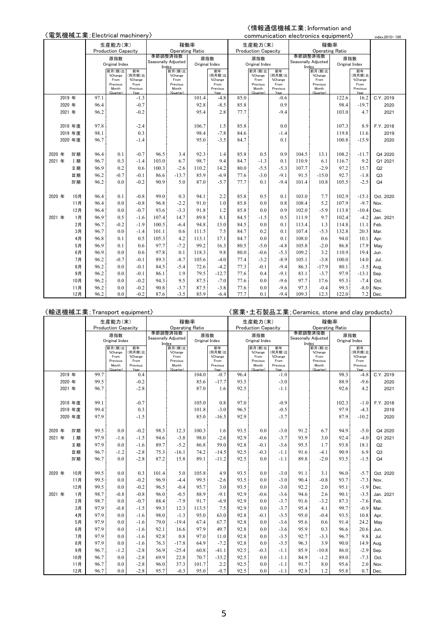# 〈電気機械工業;Electrical machinery〉

### 〈情報通信機械工業;Information and

|        |        |         | 〈電気機械工業;Electrical machinery〉 |                            |                  |       |                                |                |                  |      |                            |                  |       | communication electronics equipment) |                |                  | index.2015=100 |
|--------|--------|---------|-------------------------------|----------------------------|------------------|-------|--------------------------------|----------------|------------------|------|----------------------------|------------------|-------|--------------------------------------|----------------|------------------|----------------|
|        |        |         |                               | 生産能力(末)                    |                  |       | 稼働率                            |                |                  |      | 生産能力(末)                    |                  |       | 稼働率                                  |                |                  |                |
|        |        |         |                               | <b>Production Capacity</b> |                  |       | <b>Operating Ratio</b>         |                |                  |      | <b>Production Capacity</b> |                  |       | <b>Operating Ratio</b>               |                |                  |                |
|        |        |         |                               | 原指数                        |                  |       | 季節調整済指数<br>Seasonally Adjusted | 原指数            |                  |      | 原指数                        |                  |       | 季節調整済指数<br>Seasonally Adjusted       | 原指数            |                  |                |
|        |        |         |                               | Original Index             |                  |       | Index                          | Original Index |                  |      | Original Index             |                  |       | Index                                | Original Index |                  |                |
|        |        |         |                               | 前月(期)比<br>%Change          | 前年<br>(同月期)比     |       | 前月(期)比<br>%Change              |                | 前年<br>(同月期)比     |      | 前月(期)比<br>%Change          | 前年<br>(同月期)比     |       | 前月(期)比<br>%Change                    |                | 前年<br>(同月期)比     |                |
|        |        |         |                               | From                       | %Change          |       | From                           |                | %Change          |      | From                       | %Change          |       | From                                 |                | %Change          |                |
|        |        |         |                               | Previous<br>Month          | From<br>Previous |       | Previous<br>Month              |                | From<br>Previous |      | Previous<br>Month          | From<br>Previous |       | Previous<br>Month                    |                | From<br>Previous |                |
|        |        |         |                               | (Quarter)                  | Year             |       | (Quarter)                      |                | Year             |      | (Quarter)                  | Year             |       | (Quarter)                            |                | Year             |                |
|        | 2019 年 |         | 97.1                          |                            | $-1.3$           |       |                                | 101.4          | $-4.8$           | 85.0 |                            | $-0.6$           |       |                                      | 122.6          | 16.2             | C.Y. 2019      |
|        | 2020 年 |         | 96.4                          |                            | $-0.7$           |       |                                | 92.8           | $-8.5$           | 85.8 |                            | 0.9              |       |                                      | 98.4           | $-19.7$          | 2020           |
|        | 2021 年 |         | 96.2                          |                            | $-0.2$           |       |                                | 95.4           | 2.8              | 77.7 |                            | $-9.4$           |       |                                      | 103.0          | 4.7              | 2021           |
|        |        | 2018 年度 | 97.8                          |                            | $-2.4$           |       |                                | 106.7          | 1.5              | 85.8 |                            | 0.0              |       |                                      | 107.3          | 8.9              | F.Y. 2018      |
|        |        | 2019 年度 | 98.1                          |                            | 0.3              |       |                                | 98.4           | $-7.8$           | 84.6 |                            | $-1.4$           |       |                                      | 119.8          | 11.6             | 2019           |
|        |        | 2020 年度 | 96.7                          |                            | $-1.4$           |       |                                | 95.0           | $-3.5$           | 84.7 |                            | 0.1              |       |                                      | 100.8          | $-15.9$          | 2020           |
|        |        |         |                               |                            |                  |       |                                |                |                  |      |                            |                  |       |                                      |                |                  |                |
| 2020   | 年      | IV期     | 96.4                          | 0.1                        | $-0.7$           | 96.5  | 3.4                            | 92.3           | 1.4              | 85.8 | 0.5                        | 0.9              | 104.5 | 13.1                                 | 108.2          | $-11.7$          | Q4 2020        |
| 2021 年 |        | I期      | 96.7                          | 0.3                        | $-1.4$           | 103.0 | 6.7                            | 98.7           | 9.4              | 84.7 | $-1.3$                     | 0.1              | 110.9 | 6.1                                  | 116.7          | 9.2              | Q1 2021        |
|        |        | Ⅱ期      | 96.9                          | 0.2                        | 0.6              | 100.3 | $-2.6$                         | 110.2          | 14.2             | 80.0 | $-5.5$                     | $-5.3$           | 107.7 | $-2.9$                               | 97.2           | 15.7             | Q2             |
|        |        | 皿期      | 96.2                          | $-0.7$                     | $-0.1$           | 86.6  | $-13.7$                        | 85.9           | $-6.9$           | 77.6 | $-3.0$                     | $-9.1$           | 91.5  | $-15.0$                              | 92.7           | $-1.8$           | Q <sub>3</sub> |
|        |        | IV期     | 96.2                          | 0.0                        | $-0.2$           | 90.9  | 5.0                            | 87.0           | $-5.7$           | 77.7 | 0.1                        | $-9.4$           | 101.4 | 10.8                                 | 105.5          | $-2.5$           | Q <sub>4</sub> |
|        |        |         |                               |                            |                  |       |                                |                |                  |      |                            |                  |       |                                      |                |                  |                |
| 2020 年 |        | 10月     | 96.4                          | 0.1                        | $-0.8$           | 99.0  | 0.3                            | 94.1           | 2.2              | 85.8 | 0.5                        | 0.1              | 103.0 | 7.7                                  | 102.9          | $-15.1$          | Oct. 2020      |
|        |        | 11月     | 96.4                          | 0.0                        | $-0.8$           | 96.8  | $-2.2$                         | 91.0           | 1.0              | 85.8 | 0.0                        | 0.8              | 108.4 | 5.2                                  | 107.9          | $-9.7$           | Nov.           |
|        |        | 12月     | 96.4                          | 0.0                        | $-0.7$           | 93.6  | $-3.3$                         | 91.8           | 1.2              | 85.8 | 0.0                        | 0.9              | 102.0 | $-5.9$                               | 113.8          | $-10.4$          | Dec.           |
| 2021 年 |        | 1月      | 96.9                          | 0.5                        | $-1.6$           | 107.4 | 14.7                           | 89.8           | 8.1              | 84.5 | $-1.5$                     | 0.5              | 111.9 | 9.7                                  | 102.4          | $-4.2$           | Jan. 2021      |
|        |        | 2月      | 96.7                          | $-0.2$                     | $-1.9$           | 100.5 | $-6.4$                         | 94.8           | 13.0             | 84.5 | 0.0                        | 0.1              | 113.4 | 1.3                                  | 114.8          | 11.1             | Feb.           |
|        |        | 3月      | 96.7                          | 0.0                        | $-1.4$           | 101.1 | 0.6                            | 111.5          | 7.5              | 84.7 | 0.2                        | 0.1              | 107.4 | $-5.3$                               | 132.8          | 20.3             | Mar.           |
|        |        | 4月      | 96.8                          | 0.1                        | 0.5              | 105.3 | 4.2                            | 113.1          | 17.1             | 84.7 | 0.0                        | 0.1              | 108.0 | 0.6                                  | 94.0           | 10.1             | Apr.           |
|        |        | 5月      | 96.9                          | 0.1                        | 0.6              | 97.7  | $-7.2$                         | 99.2           | 16.3             | 80.5 | $-5.0$                     | $-4.8$           | 105.8 | $-2.0$                               | 86.8           | 17.9             | May            |
|        |        | 6月      | 96.9                          | 0.0                        | 0.6              | 97.8  | 0.1                            | 118.3          | 9.8              | 80.0 | $-0.6$                     | $-5.3$           | 109.2 | 3.2                                  | 110.9          | 19.4             | Jun.           |
|        |        | 7月      | 96.2                          | $-0.7$                     | $-0.1$           | 89.3  | $-8.7$                         | 105.6          | $-4.0$           | 77.4 | $-3.2$                     | $-8.9$           | 105.1 | $-3.8$                               | 100.0          | 14.0             | Jul.           |
|        |        | 8月      | 96.2                          | 0.0                        | $-0.1$           | 84.5  | $-5.4$                         | 72.6           | $-4.2$           | 77.3 | $-0.1$                     | $-9.4$           | 86.3  | $-17.9$                              | 80.1           | $-3.5$           | Aug.           |
|        |        | 9月      | 96.2                          | 0.0                        | $-0.1$           | 86.1  | 1.9                            | 79.5           | $-12.7$          | 77.6 | 0.4                        | $-9.1$           | 83.1  | $-3.7$                               | 97.9           | $-13.1$          | Sep.           |
|        |        | 10月     | 96.2                          | 0.0                        | $-0.2$           | 94.3  | 9.5                            | 87.5           | $-7.0$           | 77.6 | 0.0                        | $-9.6$           | 97.7  | 17.6                                 | 95.3           | $-7.4$           | Oct.           |
|        |        | 11月     | 96.2                          | 0.0                        | $-0.2$           | 90.8  | $-3.7$                         | 87.5           | $-3.8$           | 77.6 | 0.0                        | $-9.6$           | 97.3  | $-0.4$                               | 99.3           | $-8.0$           | Nov.           |
|        |        | 12月     | 96.2                          | 0.0                        | $-0.2$           | 87.6  | $-3.5$                         | 85.9           | $-6.4$           | 77.7 | 0.1                        | $-9.4$           | 109.3 | 12.3                                 | 122.0          | 7.2              | Dec.           |

|        |        |            | 〈輸送機械工業; Transport equipment〉 |                                                             |                                                     |              |                                                             |                |                                                     |              |                                                             |                                                     |              |                                                             |                |                                                     | 〈窯業・土石製品工業; Ceramics, stone and clay products〉 |
|--------|--------|------------|-------------------------------|-------------------------------------------------------------|-----------------------------------------------------|--------------|-------------------------------------------------------------|----------------|-----------------------------------------------------|--------------|-------------------------------------------------------------|-----------------------------------------------------|--------------|-------------------------------------------------------------|----------------|-----------------------------------------------------|------------------------------------------------|
|        |        |            |                               | 生産能力(末)                                                     |                                                     |              |                                                             | 稼働率            |                                                     |              | 生産能力(末)                                                     |                                                     |              |                                                             | 稼働率            |                                                     |                                                |
|        |        |            |                               | <b>Production Capacity</b>                                  |                                                     |              | <b>Operating Ratio</b>                                      |                |                                                     |              | <b>Production Capacity</b>                                  |                                                     |              | <b>Operating Ratio</b>                                      |                |                                                     |                                                |
|        |        |            |                               | 原指数                                                         |                                                     |              | 季節調整済指数<br>Seasonally Adjusted                              | 原指数            |                                                     |              | 原指数                                                         |                                                     |              | 季節調整済指数<br>Seasonally Adjusted                              |                | 原指数                                                 |                                                |
|        |        |            |                               | Original Index                                              |                                                     | Index        |                                                             | Original Index |                                                     |              | Original Index                                              |                                                     | Index        |                                                             | Original Index |                                                     |                                                |
|        |        |            |                               | 前月(期)比<br>%Change<br>From<br>Previous<br>Month<br>(Quarter) | 前年<br>(同月期)比<br>%Change<br>From<br>Previous<br>Veer |              | 前月(期)比<br>%Change<br>From<br>Previous<br>Month<br>(Quarter) |                | 前年<br>(同月期)比<br>%Change<br>From<br>Previous<br>Year |              | 前月(期)比<br>%Change<br>From<br>Previous<br>Month<br>(Quarter) | 前年<br>(同月期)比<br>%Change<br>From<br>Previous<br>Year |              | 前月(期)比<br>%Change<br>From<br>Previous<br>Month<br>(Quarter) |                | 前年<br>(同月期)比<br>%Change<br>From<br>Previous<br>Year |                                                |
|        | 2019 年 |            | 99.7                          |                                                             | 0.4                                                 |              |                                                             | 104.0          | $-0.7$                                              | 96.4         |                                                             | $-1.0$                                              |              |                                                             | 98.3           | $-4.8$                                              | C.Y. 2019                                      |
|        | 2020 年 |            | 99.5                          |                                                             | $-0.2$                                              |              |                                                             | 85.6           | $-17.7$                                             | 93.5         |                                                             | $-3.0$                                              |              |                                                             | 88.9           | $-9.6$                                              | 2020                                           |
|        | 2021 年 |            | 96.7                          |                                                             | $-2.8$                                              |              |                                                             | 87.0           | 1.6                                                 | 92.5         |                                                             | $-1.1$                                              |              |                                                             | 92.6           | 4.2                                                 | 2021                                           |
|        |        |            |                               |                                                             |                                                     |              |                                                             |                |                                                     |              |                                                             |                                                     |              |                                                             |                |                                                     |                                                |
|        |        | 2018 年度    | 99.1                          |                                                             | $-0.7$                                              |              |                                                             | 105.0          | 0.8                                                 | 97.0         |                                                             | $-0.9$                                              |              |                                                             | 102.3          | $-1.0$                                              | F.Y. 2018                                      |
|        |        | 2019 年度    | 99.4                          |                                                             | 0.3                                                 |              |                                                             | 101.8          | $-3.0$                                              | 96.5         |                                                             | $-0.5$                                              |              |                                                             | 97.9           | $-4.3$                                              | 2019                                           |
|        |        | 2020 年度    | 97.9                          |                                                             | $-1.5$                                              |              |                                                             | 85.0           | $-16.5$                                             | 92.9         |                                                             | $-3.7$                                              |              |                                                             | 87.9           | $-10.2$                                             | 2020                                           |
|        |        |            |                               |                                                             |                                                     |              |                                                             |                |                                                     |              |                                                             |                                                     |              |                                                             |                |                                                     |                                                |
| 2020 年 |        | IV期        | 99.5                          | 0.0                                                         | $-0.2$                                              | 98.3         | 12.3                                                        | 100.3          | 1.6                                                 | 93.5         | 0.0                                                         | $-3.0$                                              | 91.2         | 6.7                                                         | 94.9           | $-5.0$                                              | Q4 2020                                        |
| 2021 年 |        | <b>I 期</b> | 97.9                          | $-1.6$                                                      | $-1.5$                                              | 94.6         | $-3.8$                                                      | 98.0           | $-2.6$                                              | 92.9         | $-0.6$                                                      | $-3.7$                                              | 93.9         | 3.0                                                         | 92.4           | $-4.0$                                              | Q1 2021                                        |
|        |        | Ⅱ期         | 97.9                          | 0.0                                                         | $-1.6$                                              | 89.7         | $-5.2$                                                      | 86.8           | 59.0                                                | 92.8         | $-0.1$                                                      | $-3.6$                                              | 95.5         | 1.7                                                         | 93.8           | 18.1                                                | Q2                                             |
|        |        | 皿期         | 96.7                          | $-1.2$                                                      | $-2.8$                                              | 75.3         | $-16.1$                                                     | 74.2           | $-14.5$                                             | 92.5         | $-0.3$                                                      | $-1.1$                                              | 91.6         | $-4.1$                                                      | 90.9           | 6.9                                                 | Q3                                             |
|        |        | IV期        | 96.7                          | 0.0                                                         | $-2.8$                                              | 87.2         | 15.8                                                        | 89.1           | $-11.2$                                             | 92.5         | 0.0                                                         | $-1.1$                                              | 89.8         | $-2.0$                                                      | 93.5           | $-1.5$                                              | Q <sub>4</sub>                                 |
|        |        |            |                               |                                                             |                                                     |              |                                                             |                |                                                     |              |                                                             |                                                     |              |                                                             |                |                                                     |                                                |
| 2020 年 |        | 10月        | 99.5                          | 0.0                                                         | 0.3                                                 | 101.4        | 5.0                                                         | 105.8          | 4.9                                                 | 93.5         | 0.0                                                         | $-3.0$                                              | 91.1         | 3.1                                                         | 96.0           | $-5.7$                                              | Oct. 2020                                      |
|        |        | 11月        | 99.5                          | 0.0                                                         | $-0.2$                                              | 96.9         | $-4.4$                                                      | 99.5           | $-2.6$                                              | 93.5         | 0.0                                                         | $-3.0$                                              | 90.4         | $-0.8$                                                      | 93.7           | $-7.3$                                              | Nov.                                           |
|        |        | 12月        | 99.5                          | 0.0                                                         | $-0.2$                                              | 96.5         | $-0.4$                                                      | 95.7           | 3.0                                                 | 93.5         | 0.0                                                         | $-3.0$                                              | 92.2         | 2.0                                                         | 95.1           | $-1.9$                                              | Dec.                                           |
| 2021 年 |        | 1月         | 98.7                          | $-0.8$                                                      | $-0.8$                                              | 96.0         | $-0.5$                                                      | 88.9           | $-9.1$                                              | 92.9         | $-0.6$                                                      | $-3.6$                                              | 94.6         | 2.6                                                         | 90.1           | $-3.5$                                              | Jan. 2021                                      |
|        |        | 2月         | 98.7                          | 0.0                                                         | $-0.7$                                              | 88.4         | $-7.9$                                                      | 91.7           | $-6.9$                                              | 92.9         | 0.0                                                         | $-3.7$<br>$-3.7$                                    | 91.6         | $-3.2$                                                      | 87.3           | $-7.6$                                              | Feb.                                           |
|        |        | 3月<br>4月   | 97.9<br>97.9                  | $-0.8$<br>0.0                                               | $-1.5$                                              | 99.3<br>98.0 | 12.3<br>$-1.3$                                              | 113.5<br>95.0  | 7.5                                                 | 92.9<br>92.8 | 0.0                                                         | $-3.5$                                              | 95.4<br>95.0 | 4.1<br>$-0.4$                                               | 99.7           | $-0.9$                                              | Mar.                                           |
|        |        | 5月         | 97.9                          |                                                             | $-1.6$                                              | 79.0         |                                                             |                | 63.0<br>67.7                                        | 92.8         | $-0.1$<br>0.0                                               | $-3.6$                                              |              | 0.6                                                         | 93.5<br>91.4   | 10.8<br>24.2                                        | Apr.                                           |
|        |        | 6月         | 97.9                          | 0.0                                                         | $-1.6$<br>$-1.6$                                    |              | -19.4                                                       | 67.4<br>97.9   | 49.7                                                | 92.8         |                                                             | $-3.6$                                              | 95.6<br>95.9 | 0.3                                                         | 96.6           | 20.6                                                | May                                            |
|        |        | 7月         | 97.9                          | 0.0<br>0.0                                                  | $-1.6$                                              | 92.1<br>92.8 | 16.6<br>0.8                                                 | 97.0           | 11.0                                                | 92.8         | 0.0<br>0.0                                                  | $-3.5$                                              | 92.7         | $-3.3$                                                      | 96.7           | 9.8                                                 | Jun.<br>Jul.                                   |
|        |        | 8月         | 97.9                          | 0.0                                                         | $-1.6$                                              | 76.3         | $-17.8$                                                     | 64.9           | $-7.2$                                              | 92.8         | 0.0                                                         | $-3.5$                                              | 96.3         | 3.9                                                         | 90.0           | 14.9                                                | Aug.                                           |
|        |        | 9月         | 96.7                          | $-1.2$                                                      | $-2.8$                                              | 56.9         | $-25.4$                                                     | 60.8           | $-41.1$                                             | 92.5         | $-0.3$                                                      | $-1.1$                                              | 85.9         | $-10.8$                                                     | 86.0           | $-2.9$                                              | Sep.                                           |
|        |        | 10月        | 96.7                          | 0.0                                                         | $-2.8$                                              | 69.9         | 22.8                                                        | 70.7           | $-33.2$                                             | 92.5         | 0.0                                                         | $-1.1$                                              | 84.9         | $-1.2$                                                      | 89.0           | $-7.3$                                              | Oct.                                           |
|        |        | 11月        | 96.7                          | 0.0                                                         | $-2.8$                                              | 96.0         | 37.3                                                        | 101.7          | 2.2                                                 | 92.5         | 0.0                                                         | $-1.1$                                              | 91.7         | 8.0                                                         | 95.6           | 2.0                                                 | Nov.                                           |
|        |        | 12月        | 96.7                          | 0.0                                                         | $-2.8$                                              | 95.7         | $-0.3$                                                      | 95.0           | $-0.7$                                              | 92.5         | 0.0                                                         | -1.1                                                | 92.8         | 1.2                                                         | 95.8           | 0.7                                                 | Dec.                                           |
|        |        |            |                               |                                                             |                                                     |              |                                                             |                |                                                     |              |                                                             |                                                     |              |                                                             |                |                                                     |                                                |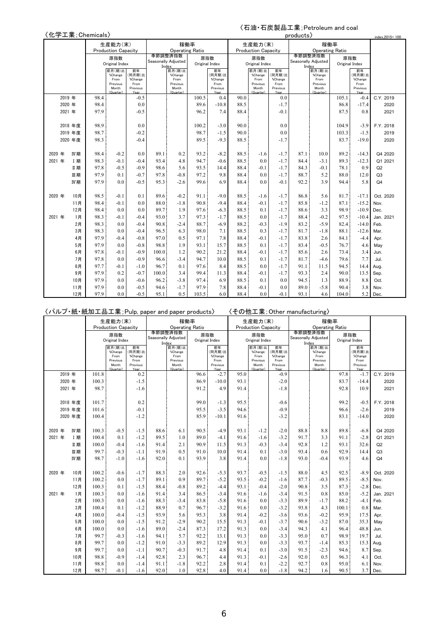# 〈石油・石炭製品工業;Petroleum and coal

|        |        |           | 〈化学工業; Chemicals〉 |                            |                  |       |                                |       |                  |      |                            |                  | products |                                |                |                  | index.2015=100 |
|--------|--------|-----------|-------------------|----------------------------|------------------|-------|--------------------------------|-------|------------------|------|----------------------------|------------------|----------|--------------------------------|----------------|------------------|----------------|
|        |        |           |                   | 生産能力(末)                    |                  |       | 稼働率                            |       |                  |      | 生産能力(末)                    |                  |          | 稼働率                            |                |                  |                |
|        |        |           |                   | <b>Production Capacity</b> |                  |       | <b>Operating Ratio</b>         |       |                  |      | <b>Production Capacity</b> |                  |          | <b>Operating Ratio</b>         |                |                  |                |
|        |        |           |                   | 原指数                        |                  |       | 季節調整済指数<br>Seasonally Adiusted | 原指数   |                  |      | 原指数                        |                  |          | 季節調整済指数<br>Seasonally Adjusted | 原指数            |                  |                |
|        |        |           |                   | Original Index             |                  | Index |                                |       | Original Index   |      | Original Index             |                  |          | Index                          | Original Index |                  |                |
|        |        |           |                   | 前月(期)比<br>%Change          | 前年<br>(同月期)比     |       | 前月(期)比<br>%Change              |       | 前年<br>(同月期)比     |      | 前月(期)比<br>%Change          | 前年<br>同月期)比      |          | 前月(期)比<br>%Change              |                | 前年<br>同月期)比      |                |
|        |        |           |                   | From                       | %Change          |       | From                           |       | %Change          |      | From                       | %Change          |          | From                           |                | %Change          |                |
|        |        |           |                   | Previous<br>Month          | From<br>Previous |       | Previous<br>Month              |       | From<br>Previous |      | Previous<br>Month          | From<br>Previous |          | Previous<br>Month              |                | From<br>Previous |                |
|        |        |           |                   | (Quarter)                  | Year             |       | (Quarter)                      |       | Year             |      | (Quarter)                  | Year             |          | (Quarter)                      |                | Year             |                |
|        | 2019 年 |           | 98.4              |                            | $-0.5$           |       |                                | 100.5 | 0.4              | 90.0 |                            | 0.0              |          |                                | 105.1          | $-0.4$           | C.Y. 2019      |
|        | 2020 年 |           | 98.4              |                            | 0.0              |       |                                | 89.6  | $-10.8$          | 88.5 |                            | $-1.7$           |          |                                | 86.8           | $-17.4$          | 2020           |
|        | 2021 年 |           | 97.9              |                            | $-0.5$           |       |                                | 96.2  | 7.4              | 88.4 |                            | $-0.1$           |          |                                | 87.5           | 0.8              | 2021           |
|        |        | 2018 年度   | 98.9              |                            | 0.0              |       |                                | 100.2 | $-3.0$           | 90.0 |                            | 0.0              |          |                                | 104.9          | $-3.9$           | F.Y. 2018      |
|        |        | 2019 年度   | 98.7              |                            | $-0.2$           |       |                                | 98.7  | $-1.5$           | 90.0 |                            | 0.0              |          |                                | 103.3          | $-1.5$           | 2019           |
|        |        | 2020 年度   | 98.3              |                            | $-0.4$           |       |                                | 89.5  | $-9.3$           | 88.5 |                            | $-1.7$           |          |                                | 83.7           | $-19.0$          | 2020           |
|        |        |           |                   |                            |                  |       |                                |       |                  |      |                            |                  |          |                                |                |                  |                |
| 2020 年 |        | IV期       | 98.4              | $-0.2$                     | 0.0              | 89.1  | 0.2                            | 93.2  | $-8.2$           | 88.5 | $-1.6$                     | $-1.7$           | 87.1     | 10.0                           | 89.2           | $-14.3$          | Q4 2020        |
| 2021 年 |        | <b>I期</b> | 98.3              | $-0.1$                     | $-0.4$           | 93.4  | 4.8                            | 94.7  | $-0.6$           | 88.5 | 0.0                        | $-1.7$           | 84.4     | $-3.1$                         | 89.3           | $-12.3$          | Q1 2021        |
|        |        | Ⅱ期        | 97.8              | $-0.5$                     | $-0.9$           | 98.6  | 5.6                            | 93.5  | 14.4             | 88.4 | $-0.1$                     | $-1.7$           | 84.3     | $-0.1$                         | 78.1           | 0.9              | Q2             |
|        |        | 皿期        | 97.9              | 0.1                        | $-0.7$           | 97.8  | $-0.8$                         | 97.2  | 9.8              | 88.4 | 0.0                        | $-1.7$           | 88.7     | 5.2                            | 88.0           | 12.0             | Q3             |
|        |        | IV期       | 97.9              | 0.0                        | $-0.5$           | 95.3  | $-2.6$                         | 99.6  | 6.9              | 88.4 | 0.0                        | $-0.1$           | 92.2     | 3.9                            | 94.4           | 5.8              | Q <sub>4</sub> |
|        |        |           |                   |                            |                  |       |                                |       |                  |      |                            |                  |          |                                |                |                  |                |
| 2020 年 |        | 10月       | 98.5              | $-0.1$                     | 0.1              | 89.6  | $-0.2$                         | 91.1  | $-9.0$           | 88.5 | $-1.6$                     | $-1.7$           | 86.8     | 5.6                            | 81.7           | $-17.1$          | Oct. 2020      |
|        |        | 11月       | 98.4              | $-0.1$                     | 0.0              | 88.0  | $-1.8$                         | 90.8  | $-9.4$           | 88.4 | $-0.1$                     | $-1.7$           | 85.8     | $-1.2$                         | 87.1           | $-15.2$          | Nov.           |
|        |        | 12月       | 98.4              | 0.0                        | 0.0              | 89.7  | 1.9                            | 97.6  | $-6.3$           | 88.5 | 0.1                        | $-1.7$           | 88.6     | 3.3                            | 98.9           | $-10.9$          | Dec.           |
| 2021 年 |        | 1月        | 98.3              | $-0.1$                     | $-0.4$           | 93.0  | 3.7                            | 97.3  | $-1.7$           | 88.5 | 0.0                        | $-1.7$           | 88.4     | $-0.2$                         | 97.5           | $-10.4$          | Jan. 2021      |
|        |        | 2月        | 98.3              | 0.0                        | $-0.4$           | 90.8  | $-2.4$                         | 88.7  | $-6.9$           | 88.2 | $-0.3$                     | $-1.9$           | 83.2     | $-5.9$                         | 82.4           | $-14.0$          | Feb.           |
|        |        | 3月        | 98.3              | 0.0                        | $-0.4$           | 96.5  | 6.3                            | 98.0  | 7.1              | 88.5 | 0.3                        | $-1.7$           | 81.7     | $-1.8$                         | 88.1           | $-12.6$          | Mar.           |
|        |        | 4月        | 97.9              | $-0.4$                     | $-0.8$           | 97.0  | 0.5                            | 97.1  | 7.8              | 88.4 | $-0.1$                     | $-1.7$           | 83.8     | 2.6                            | 84.1           | $-4.4$           | Apr.           |
|        |        | 5月        | 97.9              | 0.0                        | $-0.8$           | 98.8  | 1.9                            | 93.1  | 15.7             | 88.5 | 0.1                        | $-1.7$           | 83.4     | $-0.5$                         | 76.7           | 4.6              | May            |
|        |        | 6月        | 97.8              | $-0.1$                     | $-0.9$           | 100.0 | 1.2                            | 90.2  | 21.2             | 88.4 | $-0.1$                     | $-1.7$           | 85.6     | 2.6                            | 73.4           | 3.4              | Jun.           |
|        |        | 7月        | 97.8              | 0.0                        | $-0.9$           | 96.6  | $-3.4$                         | 94.7  | 10.0             | 88.5 | 0.1                        | $-1.7$           | 81.7     | $-4.6$                         | 79.6           | 7.7              | Jul.           |
|        |        | 8月        | 97.7<br>$-0.1$    |                            | $-1.0$           | 96.7  | 0.1                            | 97.6  | 8.4              | 88.5 | 0.0                        | $-1.7$           | 91.1     | 11.5                           | 94.5           | 14.4             | Aug.           |
|        |        | 9月        | 97.9              | 0.2                        | $-0.7$           | 100.0 | 3.4                            | 99.4  | 11.3             | 88.4 | $-0.1$                     | $-1.7$           | 93.3     | 2.4                            | 90.0           | 13.5             | Sep.           |
|        |        | 10月       | 97.9              | 0.0                        | $-0.6$           | 96.2  | $-3.8$                         | 97.4  | 6.9              | 88.5 | 0.1                        | 0.0              | 94.5     | 1.3                            | 88.9           | 8.8              | Oct.           |
|        |        | 11月       | 97.9              | 0.0                        | $-0.5$           | 94.6  | $-1.7$                         | 97.9  | 7.8              | 88.4 | $-0.1$                     | 0.0              | 89.0     | $-5.8$                         | 90.4           | 3.8              | Nov.           |
|        |        | 12月       | 97.9              | 0.0                        | $-0.5$           | 95.1  | 0.5                            | 103.5 | 6.0              | 88.4 | 0.0                        | $-0.1$           | 93.1     | 4.6                            | 104.0          | 5.2              | Dec.           |

|        |        |                               | 〈パルプ・紙・紙加工品工業; Pulp, paper and paper products〉 |                                                             |                                                     |                                         |                                                             |                       |                                                     |                      |                                                             |                                                     | 〈その他工業; Other manufacturing〉 |                                                             |                      |                                                     |                           |
|--------|--------|-------------------------------|------------------------------------------------|-------------------------------------------------------------|-----------------------------------------------------|-----------------------------------------|-------------------------------------------------------------|-----------------------|-----------------------------------------------------|----------------------|-------------------------------------------------------------|-----------------------------------------------------|------------------------------|-------------------------------------------------------------|----------------------|-----------------------------------------------------|---------------------------|
|        |        |                               |                                                | 生産能力(末)                                                     |                                                     |                                         | 稼働率                                                         |                       |                                                     |                      | 生産能力(末)                                                     |                                                     |                              | 稼働率                                                         |                      |                                                     |                           |
|        |        |                               |                                                | <b>Production Capacity</b>                                  |                                                     |                                         | <b>Operating Ratio</b>                                      |                       |                                                     |                      | <b>Production Capacity</b>                                  |                                                     |                              | <b>Operating Ratio</b>                                      |                      |                                                     |                           |
|        |        |                               |                                                | 原指数<br>Original Index                                       |                                                     | 季節調整済指数<br>Seasonally Adjusted<br>Index |                                                             | 原指数<br>Original Index |                                                     |                      | 原指数<br>Original Index                                       |                                                     | Index                        | 季節調整済指数<br>Seasonally Adjusted                              | Original Index       | 原指数                                                 |                           |
|        |        |                               |                                                | 前月(期)比<br>%Change<br>From<br>Previous<br>Month<br>(Quarter) | 前年<br>(同月期)比<br>%Change<br>From<br>Previous<br>Veer |                                         | 前月(期)比<br>%Change<br>From<br>Previous<br>Month<br>(Quarter) |                       | 前年<br>(同月期)比<br>%Change<br>From<br>Previous<br>Vasr |                      | 前月(期)比<br>%Change<br>From<br>Previous<br>Month<br>(Quarter) | 前年<br>(同月期)比<br>%Change<br>From<br>Previous<br>Year |                              | 前月(期)比<br>%Change<br>From<br>Previous<br>Month<br>(Quarter) |                      | 前年<br>(同月期)比<br>%Change<br>From<br>Previous<br>Year |                           |
|        | 2019 年 |                               | 101.8                                          |                                                             | 0.2                                                 |                                         |                                                             | 96.6                  | $-2.7$                                              | 95.0                 |                                                             | $-0.9$                                              |                              |                                                             | 97.8                 | $-1.7$                                              | C.Y. 2019                 |
|        | 2020 年 |                               | 100.3                                          |                                                             | $-1.5$                                              |                                         |                                                             | 86.9                  | $-10.0$                                             | 93.1                 |                                                             | $-2.0$                                              |                              |                                                             | 83.7                 | $-14.4$                                             | 2020                      |
|        | 2021 年 |                               | 98.7                                           |                                                             | $-1.6$                                              |                                         |                                                             | 91.2                  | 4.9                                                 | 91.4                 |                                                             | $-1.8$                                              |                              |                                                             | 92.8                 | 10.9                                                | 2021                      |
|        |        | 2018 年度<br>2019 年度<br>2020 年度 | 101.7<br>101.6<br>100.4                        |                                                             | 0.2<br>$-0.1$<br>$-1.2$                             |                                         |                                                             | 99.0<br>95.5<br>85.9  | $-1.3$<br>$-3.5$<br>$-10.1$                         | 95.5<br>94.6<br>91.6 |                                                             | $-0.6$<br>$-0.9$<br>$-3.2$                          |                              |                                                             | 99.2<br>96.6<br>83.1 | $-0.5$<br>$-2.6$<br>$-14.0$                         | F.Y. 2018<br>2019<br>2020 |
|        |        |                               |                                                |                                                             |                                                     |                                         |                                                             |                       |                                                     |                      |                                                             |                                                     |                              |                                                             |                      |                                                     |                           |
| 2020 年 |        | IV 期                          | 100.3                                          | $-0.5$                                                      | $-1.5$                                              | 88.6                                    | 6.1                                                         | 90.5                  | $-4.9$                                              | 93.1                 | $-1.2$                                                      | $-2.0$                                              | 88.8                         | 8.8                                                         | 89.8                 | $-6.8$                                              | Q4 2020                   |
| 2021 年 |        | I 期                           | 100.4                                          | 0.1                                                         | $-1.2$                                              | 89.5                                    | 1.0                                                         | 89.0                  | $-4.1$                                              | 91.6                 | $-1.6$                                                      | $-3.2$                                              | 91.7                         | 3.3                                                         | 91.1                 | $-2.8$                                              | Q1 2021                   |
|        |        | Ⅱ期                            | 100.0                                          | $-0.4$                                                      | $-1.6$                                              | 91.4                                    | 2.1                                                         | 90.9                  | 11.5                                                | 91.3                 | $-0.3$                                                      | $-3.4$                                              | 92.8                         | 1.2                                                         | 93.1                 | 32.6                                                | Q2                        |
|        |        | 皿期                            | 99.7                                           | $-0.3$                                                      | $-1.1$                                              | 91.9                                    | 0.5                                                         | 91.0                  | 10.0                                                | 91.4                 | 0.1                                                         | $-3.0$                                              | 93.4                         | 0.6                                                         | 92.9                 | 14.4                                                | Q3                        |
|        |        | IV期                           | 98.7                                           | $-1.0$                                                      | $-1.6$                                              | 92.0                                    | 0.1                                                         | 93.9                  | 3.8                                                 | 91.4                 | 0.0                                                         | $-1.8$                                              | 93.0                         | $-0.4$                                                      | 93.9                 | 4.6                                                 | Q <sub>4</sub>            |
| 2020 年 |        | 10月                           | 100.2                                          | $-0.6$                                                      | $-1.7$                                              | 88.3                                    | 2.0                                                         | 92.6                  | $-5.3$                                              | 93.7                 | $-0.5$                                                      | $-1.5$                                              | 88.0                         | 4.5                                                         | 92.5                 | $-8.9$                                              | Oct. 2020                 |
|        |        | 11月                           | 100.2                                          | 0.0                                                         | $-1.7$                                              | 89.1                                    | 0.9                                                         | 89.7                  | $-5.2$                                              | 93.5                 | $-0.2$                                                      | $-1.6$                                              | 87.7                         | $-0.3$                                                      | 89.5                 | $-8.5$                                              | Nov.                      |
|        |        | 12月                           | 100.3                                          | 0.1                                                         | $-1.5$                                              | 88.4                                    | $-0.8$                                                      | 89.2                  | $-4.4$                                              | 93.1                 | $-0.4$                                                      | $-2.0$                                              | 90.8                         | 3.5                                                         | 87.3                 | $-2.8$                                              | Dec.                      |
| 2021 年 |        | 1月                            | 100.3                                          | 0.0                                                         | $-1.6$                                              | 91.4                                    | 3.4                                                         | 86.5                  | $-3.4$                                              | 91.6                 | $-1.6$                                                      | $-3.4$                                              | 91.5                         | 0.8                                                         | 85.0                 | $-5.2$                                              | Jan. 2021                 |
|        |        | 2月                            | 100.3                                          | 0.0                                                         | $-1.6$                                              | 88.3                                    | $-3.4$                                                      | 83.8                  | $-5.8$                                              | 91.6                 | 0.0                                                         | $-3.3$                                              | 89.9                         | $-1.7$                                                      | 88.2                 | $-4.1$                                              | Feb.                      |
|        |        | 3月                            | 100.4                                          | 0.1                                                         | $-1.2$                                              | 88.9                                    | 0.7                                                         | 96.7                  | $-3.2$                                              | 91.6                 | 0.0                                                         | $-3.2$                                              | 93.8                         | 4.3                                                         | 100.1                | 0.8                                                 | Mar.                      |
|        |        | 4月                            | 100.0                                          | $-0.4$                                                      | $-1.5$                                              | 93.9                                    | 5.6                                                         | 95.3                  | 3.8                                                 | 91.4                 | $-0.2$                                                      | $-3.6$                                              | 93.6                         | $-0.2$                                                      | 95.9                 | 17.5                                                | Apr.                      |
|        |        | 5月                            | 100.0                                          | 0.0                                                         | $-1.5$                                              | 91.2                                    | $-2.9$                                                      | 90.2                  | 15.5                                                | 91.3                 | $-0.1$                                                      | $-3.7$                                              | 90.6                         | $-3.2$                                                      | 87.0                 | 35.3                                                | May                       |
|        |        | 6月                            | 100.0                                          | 0.0                                                         | $-1.6$                                              | 89.0                                    | $-2.4$                                                      | 87.3                  | 17.2                                                | 91.3                 | 0.0                                                         | $-3.4$                                              | 94.3                         | 4.1                                                         | 96.4                 | 48.8                                                | Jun.                      |
|        |        | 7月                            | 99.7                                           | $-0.3$                                                      | $-1.6$                                              | 94.1                                    | 5.7                                                         | 92.2                  | 13.1                                                | 91.3                 | 0.0                                                         | $-3.3$                                              | 95.0                         | 0.7                                                         | 98.9                 | 19.7                                                | Jul.                      |
|        |        | 8月                            | 99.7                                           | 0.0                                                         | $-1.2$                                              | 91.0                                    | $-3.3$                                                      | 89.2                  | 12.9                                                | 91.3                 | 0.0                                                         | $-3.3$                                              | 93.7                         | $-1.4$                                                      | 85.3                 | 15.3                                                | Aug.                      |
|        |        | 9月                            | 99.7                                           | 0.0                                                         | $-1.1$                                              | 90.7                                    | $-0.3$                                                      | 91.7                  | 4.8                                                 | 91.4                 | 0.1                                                         | $-3.0$                                              | 91.5                         | $-2.3$                                                      | 94.6                 | 8.7                                                 | Sep.                      |
|        |        | 10月                           | 98.8                                           | $-0.9$                                                      | $-1.4$                                              | 92.8                                    | 2.3                                                         | 96.7                  | 4.4                                                 | 91.3                 | $-0.1$                                                      | $-2.6$                                              | 92.0                         | 0.5                                                         | 96.3                 | 4.1                                                 | Oct.                      |
|        |        | 11月                           | 98.8                                           | 0.0                                                         | $-1.4$                                              | 91.1                                    | $-1.8$                                                      | 92.2                  | 2.8                                                 | 91.4                 | 0.1                                                         | $-2.2$                                              | 92.7                         | 0.8                                                         | 95.0                 | 6.1                                                 | Nov.                      |
|        |        | 12月                           | 98.7                                           | $-0.1$                                                      | $-1.6$                                              | 92.0                                    | 1.0                                                         | 92.8                  | 4.0                                                 | 91.4                 | 0.0                                                         | $-1.8$                                              | 94.2                         | 1.6                                                         | 90.5                 | 3.7                                                 | Dec.                      |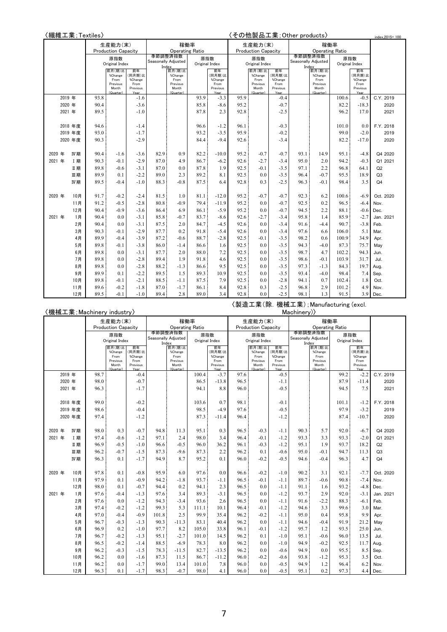|        |        |            | 〈繊維工業;Textiles〉 |                            |                  |       |                     |                        |                  |      |                            |                  | 〈その他製品工業; Other products〉 |                              |                |                  | index.2015=100 |
|--------|--------|------------|-----------------|----------------------------|------------------|-------|---------------------|------------------------|------------------|------|----------------------------|------------------|---------------------------|------------------------------|----------------|------------------|----------------|
|        |        |            |                 | 生産能力(末)                    |                  |       | 稼働率                 |                        |                  |      | 生産能力(末)                    |                  |                           |                              | 稼働率            |                  |                |
|        |        |            |                 | <b>Production Capacity</b> |                  |       |                     | <b>Operating Ratio</b> |                  |      | <b>Production Capacity</b> |                  |                           | <b>Operating Ratio</b>       |                |                  |                |
|        |        |            |                 | 原指数                        |                  |       | 季節調整済指数             | 原指数                    |                  |      | 原指数                        |                  |                           | 季節調整済指数                      |                | 原指数              |                |
|        |        |            |                 | Original Index             |                  | Index | Seasonally Adjusted | Original Index         |                  |      | Original Index             |                  |                           | Seasonally Adjusted<br>Index | Original Index |                  |                |
|        |        |            |                 | 前月(期)比<br>%Change          | 前年<br>(同月期)比     |       | 前月(期)比<br>%Change   |                        | 前年<br>同月期)比      |      | 前月(期)比<br>%Change          | 前年<br>(同月期)比     |                           | 前月(期)比<br>%Change            |                | 前年<br>(同月期)比     |                |
|        |        |            |                 | From                       | %Change          |       | From                |                        | %Change          |      | From                       | %Change          |                           | From                         |                | %Change          |                |
|        |        |            |                 | Previous<br>Month          | From<br>Previous |       | Previous<br>Month   |                        | From<br>Previous |      | Previous<br>Month          | From<br>Previous |                           | Previous<br>Month            |                | From<br>Previous |                |
|        |        |            |                 | (Quarter)                  | Year             |       | (Quarter)           |                        | Year             |      | (Quarter)                  | Year             |                           | (Quarter)                    |                | Year             |                |
|        | 2019 年 |            | 93.8            |                            | $-1.6$           |       |                     | 93.9                   | $-3.3$           | 95.9 |                            | $-0.4$           |                           |                              | 100.6          | $-0.5$           | C.Y. 2019      |
|        | 2020 年 |            | 90.4            |                            | $-3.6$           |       |                     | 85.8                   | $-8.6$           | 95.2 |                            | $-0.7$           |                           |                              | 82.2           | $-18.3$          | 2020           |
|        | 2021 年 |            | 89.5            |                            | $-1.0$           |       |                     | 87.8                   | 2.3              | 92.8 |                            | $-2.5$           |                           |                              | 96.2           | 17.0             | 2021           |
|        |        |            |                 |                            |                  |       |                     |                        |                  |      |                            |                  |                           |                              |                |                  |                |
|        |        | 2018 年度    | 94.6            |                            | $-1.4$           |       |                     | 96.6                   | $-1.2$           | 96.1 |                            | $-0.3$           |                           |                              | 101.0          | 0.0              | F.Y. 2018      |
|        |        | 2019 年度    | 93.0            |                            | $-1.7$           |       |                     | 93.2                   | $-3.5$           | 95.9 |                            | $-0.2$           |                           |                              | 99.0           | $-2.0$           | 2019           |
|        |        | 2020 年度    | 90.3            |                            | $-2.9$           |       |                     | 84.4                   | $-9.4$           | 92.6 |                            | $-3.4$           |                           |                              | 82.2           | $-17.0$          | 2020           |
|        |        |            |                 |                            |                  |       |                     |                        |                  |      |                            |                  |                           |                              |                |                  |                |
| 2020 年 |        | IV期        | 90.4            | $-1.6$                     | $-3.6$           | 82.9  | 0.9                 | 82.2                   | $-10.0$          | 95.2 | $-0.7$                     | $-0.7$           | 93.1                      | 14.9                         | 95.1           | $-4.8$           | Q4 2020        |
| 2021 年 |        | <b>I</b> 期 | 90.3            | $-0.1$                     | $-2.9$           | 87.0  | 4.9                 | 86.7                   | $-6.2$           | 92.6 | $-2.7$                     | $-3.4$           | 95.0                      | 2.0                          | 94.2           | $-0.3$           | Q1 2021        |
|        |        | Ⅱ期         | 89.8            | $-0.6$                     | $-3.1$           | 87.0  | 0.0                 | 87.8                   | 1.9              | 92.5 | $-0.1$                     | $-3.5$           | 97.1                      | 2.2                          | 96.8           | 64.1             | Q2             |
|        |        | 皿期         | 89.9            | 0.1                        | $-2.2$           | 89.0  | 2.3                 | 89.2                   | 8.1              | 92.5 | 0.0                        | $-3.5$           | 96.4                      | $-0.7$                       | 95.5           | 18.9             | Q3             |
|        |        | IV期        | 89.5            | $-0.4$                     | $-1.0$           | 88.3  | $-0.8$              | 87.5                   | 6.4              | 92.8 | 0.3                        | $-2.5$           | 96.3                      | $-0.1$                       | 98.4           | 3.5              | Q <sub>4</sub> |
| 2020 年 |        | 10月        | 91.7            | $-0.2$                     | $-2.4$           | 81.5  | 1.0                 | 81.1                   | $-12.0$          | 95.2 | $-0.7$                     | $-0.7$           | 92.3                      | 6.2                          | 100.6          | $-6.9$           | Oct. 2020      |
|        |        | 11月        | 91.2            | $-0.5$                     | $-2.8$           | 80.8  | $-0.9$              | 79.4                   | $-11.9$          | 95.2 | 0.0                        | $-0.7$           | 92.5                      | 0.2                          | 96.5           | $-6.4$           | Nov.           |
|        |        | 12月        | 90.4            | $-0.9$                     | $-3.6$           | 86.4  | 6.9                 | 86.1                   | $-5.9$           | 95.2 | 0.0                        | $-0.7$           | 94.5                      | 2.2                          | 88.1           | $-0.6$           | Dec.           |
| 2021 年 |        | 1月         | 90.4            | 0.0                        | $-3.1$           | 85.8  | $-0.7$              | 83.7                   | $-8.6$           | 92.6 | $-2.7$                     | $-3.4$           | 95.8                      | 1.4                          | 85.9           | $-2.7$           | Jan. 2021      |
|        |        | 2月         | 90.4            | 0.0                        | $-3.1$           | 87.5  | 2.0                 | 84.7                   | $-4.5$           | 92.6 | 0.0                        | $-3.4$           | 91.6                      | $-4.4$                       | 90.7           | $-3.8$           | Feb.           |
|        |        | 3月         | 90.3            | $-0.1$                     | $-2.9$           | 87.7  | 0.2                 | 91.8                   | $-5.4$           | 92.6 | 0.0                        | $-3.4$           | 97.6                      | 6.6                          | 106.0          | 5.1              | Mar.           |
|        |        | 4月         | 89.9            | $-0.4$                     | $-3.9$           | 87.2  | $-0.6$              | 88.7                   | $-2.8$           | 92.5 | $-0.1$                     | $-3.5$           | 98.2                      | 0.6                          | 100.9          | 34.9             | Apr.           |
|        |        | 5月         | 89.8            | $-0.1$                     | $-3.8$           | 86.0  | $-1.4$              | 86.6                   | 1.6              | 92.5 | 0.0                        | $-3.5$           | 94.3                      | $-4.0$                       | 87.3           | 75.7             | May            |
|        |        | 6月         | 89.8            | 0.0                        | $-3.1$           | 87.7  | 2.0                 | 88.0                   | 7.2              | 92.5 | 0.0                        | $-3.5$           | 98.7                      | 4.7                          | 102.2          | 94.3             | Jun.           |
|        |        | 7月         | 89.8            | 0.0                        | $-2.8$           | 89.4  | 1.9                 | 91.8                   | 4.6              | 92.5 | 0.0                        | $-3.5$           | 98.6                      | $-0.1$                       | 103.9          | 31.7             | Jul.           |
|        |        | 8月         | 89.8            | 0.0                        | $-2.8$           | 88.2  | $-1.3$              | 86.6                   | 9.5              | 92.5 | 0.0                        | $-3.5$           | 97.3                      | $-1.3$                       | 84.3           | 19.7             | Aug.           |
|        |        | 9月         | 89.9            | 0.1                        | $-2.2$           | 89.5  | 1.5                 | 89.3                   | 10.9             | 92.5 | 0.0                        | $-3.5$           | 93.4                      | $-4.0$                       | 98.4           | 7.4              | Sep.           |
|        |        | 10月        | 89.8            | $-0.1$                     | $-2.1$           | 88.5  | $-1.1$              | 87.5                   | 7.9              | 92.5 | 0.0                        | $-2.8$           | 94.1                      | 0.7                          | 102.4          | 1.8              | Oct.           |
|        |        | 11月        | 89.6            | $-0.2$                     | $-1.8$           | 87.0  | $-1.7$              | 86.1                   | 8.4              | 92.8 | 0.3                        | $-2.5$           | 96.8                      | 2.9                          | 101.2          | 4.9              | Nov.           |
|        |        | 12月        | 89.5            | $-0.1$                     | $-1.0$           | 89.4  | 2.8                 | 89.0                   | 3.4              | 92.8 | 0.0                        | $-2.5$           | 98.1                      | 1.3                          | 91.5           | 3.9              | Dec.           |

〈製造工業(除.機械工業);Manufacturing (excl.

| 〈機械工業; Machinery industry〉<br>Machinery)<br>稼働率<br>稼働率<br>生産能力(末)<br>生産能力(末)<br><b>Operating Ratio</b><br><b>Production Capacity</b><br><b>Operating Ratio</b><br><b>Production Capacity</b><br>季節調整済指数<br>季節調整済指数<br>原指数<br>原指数<br>原指数<br>原指数<br>Seasonally Adjusted<br>Seasonally Adjusted<br>Original Index<br>Original Index<br>Original Index<br>Original Index<br>Index<br>Index<br>前月(期)比<br>前月(期)比<br>前年<br>前年<br>前月(期)比<br>前月(期)比<br>前年<br>前年<br>(同月期) 比<br>(同月期)比<br>(同月期)比<br>(同月期)比<br>%Change<br>%Change<br>%Change<br>%Change<br>%Change<br>%Change<br>From<br>%Change<br>From<br>%Change<br>From<br>From<br>Previous<br>From<br>Previous<br>From<br>From<br>Previous<br>From<br>Previous<br>Month<br>Previous<br>Month<br>Month<br>Previous<br>Month<br>Previous<br>Previous<br>(Quarter)<br>(Quarter)<br>Year<br>(Quarter)<br>Year<br>(Quarter)<br>Year<br>Year<br>97.6<br>2019 年<br>98.7<br>$-0.4$<br>100.4<br>$-3.7$<br>$-0.5$<br>99.2<br>C.Y. 2019<br>$-2.2$<br>98.0<br>$-0.7$<br>96.5<br>87.9<br>2020 年<br>86.5<br>$-13.8$<br>$-1.1$<br>$-11.4$<br>2020<br>96.3<br>$-1.7$<br>94.1<br>96.0<br>$-0.5$<br>94.5<br>2021 年<br>8.8<br>7.5<br>2021<br>99.0<br>$-0.2$<br>103.6<br>0.7<br>98.1<br>101.1<br>2018 年度<br>$-0.1$<br>$-1.2$<br>F.Y. 2018<br>98.5<br>97.9<br>98.6<br>$-0.4$<br>$-4.9$<br>97.6<br>$-0.5$<br>$-3.2$<br>2019 年度<br>2019<br>97.4<br>$-1.2$<br>96.4<br>$-1.2$<br>87.4<br>2020 年度<br>87.3<br>$-10.7$<br>2020<br>$-11.4$<br>98.0<br>0.3<br>$-0.7$<br>94.8<br>95.1<br>0.3<br>96.5<br>$-0.3$<br>90.3<br>5.7<br>92.0<br>$-6.7$<br>IV期<br>11.3<br>$-1.1$<br>Q4 2020<br>2020 年<br>97.1<br>96.4<br>93.3<br>3.3<br>2021 年<br>97.4<br>$-0.6$<br>$-1.2$<br>2.4<br>98.0<br>3.4<br>$-0.1$<br>$-1.2$<br>93.3<br>$-2.0$<br><b>I期</b><br>Q1 2021<br>$-0.5$<br>$-0.3$<br>1.9<br>96.9<br>$-1.0$<br>$-0.5$<br>96.0<br>36.2<br>96.1<br>$-1.2$<br>95.1<br>93.7<br>18.2<br>Ⅱ期<br>96.6<br>Q2<br>96.2<br>$-0.7$<br>87.3<br>87.3<br>2.2<br>96.2<br>95.0<br>$-0.1$<br>94.7<br>11.3<br>皿期<br>$-1.5$<br>$-9.6$<br>0.1<br>$-0.6$<br>Q <sub>3</sub><br>8.7<br>96.3<br>$-1.7$<br>95.2<br>$-0.5$<br>94.6<br>$-0.4$<br>4.7<br>IV期<br>0.1<br>94.9<br>0.1<br>96.0<br>$-0.2$<br>96.3<br>Q <sub>4</sub><br>97.8<br>$-0.8$<br>95.9<br>6.0<br>97.6<br>0.0<br>$-0.2$<br>$-1.0$<br>90.2<br>92.1<br>10月<br>0.1<br>96.6<br>3.1<br>$-7.7$<br>Oct. 2020<br>2020 年<br>97.9<br>0.1<br>$-0.9$<br>94.2<br>$-1.8$<br>93.7<br>96.5<br>$-0.1$<br>89.7<br>$-0.6$<br>90.8<br>11月<br>$-1.1$<br>$-1.1$<br>$-7.4$<br>Nov.<br>98.0<br>2.3<br>96.5<br>93.2<br>12月<br>0.1<br>$-0.7$<br>94.4<br>0.2<br>94.1<br>0.0<br>$-1.1$<br>91.1<br>1.6<br>$-4.8$<br>Dec.<br>1月<br>97.6<br>$-1.3$<br>97.6<br>3.4<br>89.3<br>$-3.1$<br>96.5<br>0.0<br>$-1.2$<br>93.7<br>2.9<br>92.0<br>$-3.1$<br>Jan. 2021<br>2021 年<br>$-0.4$<br>$-2.2$<br>2月<br>97.6<br>$-1.2$<br>94.3<br>2.6<br>96.5<br>0.0<br>91.6<br>88.3<br>0.0<br>$-3.4$<br>93.6<br>$-1.1$<br>$-6.1$<br>Feb.<br>3.3<br>3月<br>97.4<br>$-0.2$<br>$-1.2$<br>99.3<br>5.3<br>96.4<br>$-1.2$<br>94.6<br>99.6<br>111.1<br>10.1<br>$-0.1$<br>3.0<br>Mar.<br>97.0<br>$-0.9$<br>2.5<br>99.9<br>35.4<br>96.2<br>$-0.2$<br>95.0<br>95.8<br>9.9<br>4月<br>$-0.4$<br>101.8<br>$-1.1$<br>0.4<br>Apr.<br>96.7<br>96.2<br>5月<br>$-0.3$<br>$-1.3$<br>90.3<br>$-11.3$<br>83.1<br>40.4<br>0.0<br>$-1.1$<br>94.6<br>$-0.4$<br>91.9<br>21.2<br>May<br>$-1.2$<br>95.7<br>6月<br>96.9<br>0.2<br>$-1.0$<br>97.7<br>8.2<br>105.0<br>33.8<br>96.1<br>1.2<br>93.5<br>25.0<br>$-0.1$<br>Jun.<br>$-0.2$<br>$-2.7$<br>7月<br>96.7<br>$-1.3$<br>101.0<br>96.2<br>$-1.0$<br>95.1<br>$-0.6$<br>96.0<br>13.5<br>95.1<br>14.5<br>0.1<br>Jul. |  |  |  |  |  |  | 〈裂造工業(除. 機械工業);Manutacturing (excl. |  |  |
|--------------------------------------------------------------------------------------------------------------------------------------------------------------------------------------------------------------------------------------------------------------------------------------------------------------------------------------------------------------------------------------------------------------------------------------------------------------------------------------------------------------------------------------------------------------------------------------------------------------------------------------------------------------------------------------------------------------------------------------------------------------------------------------------------------------------------------------------------------------------------------------------------------------------------------------------------------------------------------------------------------------------------------------------------------------------------------------------------------------------------------------------------------------------------------------------------------------------------------------------------------------------------------------------------------------------------------------------------------------------------------------------------------------------------------------------------------------------------------------------------------------------------------------------------------------------------------------------------------------------------------------------------------------------------------------------------------------------------------------------------------------------------------------------------------------------------------------------------------------------------------------------------------------------------------------------------------------------------------------------------------------------------------------------------------------------------------------------------------------------------------------------------------------------------------------------------------------------------------------------------------------------------------------------------------------------------------------------------------------------------------------------------------------------------------------------------------------------------------------------------------------------------------------------------------------------------------------------------------------------------------------------------------------------------------------------------------------------------------------------------------------------------------------------------------------------------------------------------------------------------------------------------------------------------------------------------------------------------------------------------------------------------------------------------------------------------------------------------------------------------------------------------------------------------------------------------------------------------------------------------------------------------------------------------------------------------------------------------------------------------------------------------------------------------------------------------------------------------------------------------------------------------------------------------------------------------------------------------------------------|--|--|--|--|--|--|-------------------------------------|--|--|
|                                                                                                                                                                                                                                                                                                                                                                                                                                                                                                                                                                                                                                                                                                                                                                                                                                                                                                                                                                                                                                                                                                                                                                                                                                                                                                                                                                                                                                                                                                                                                                                                                                                                                                                                                                                                                                                                                                                                                                                                                                                                                                                                                                                                                                                                                                                                                                                                                                                                                                                                                                                                                                                                                                                                                                                                                                                                                                                                                                                                                                                                                                                                                                                                                                                                                                                                                                                                                                                                                                                                                                                                                    |  |  |  |  |  |  |                                     |  |  |
|                                                                                                                                                                                                                                                                                                                                                                                                                                                                                                                                                                                                                                                                                                                                                                                                                                                                                                                                                                                                                                                                                                                                                                                                                                                                                                                                                                                                                                                                                                                                                                                                                                                                                                                                                                                                                                                                                                                                                                                                                                                                                                                                                                                                                                                                                                                                                                                                                                                                                                                                                                                                                                                                                                                                                                                                                                                                                                                                                                                                                                                                                                                                                                                                                                                                                                                                                                                                                                                                                                                                                                                                                    |  |  |  |  |  |  |                                     |  |  |
|                                                                                                                                                                                                                                                                                                                                                                                                                                                                                                                                                                                                                                                                                                                                                                                                                                                                                                                                                                                                                                                                                                                                                                                                                                                                                                                                                                                                                                                                                                                                                                                                                                                                                                                                                                                                                                                                                                                                                                                                                                                                                                                                                                                                                                                                                                                                                                                                                                                                                                                                                                                                                                                                                                                                                                                                                                                                                                                                                                                                                                                                                                                                                                                                                                                                                                                                                                                                                                                                                                                                                                                                                    |  |  |  |  |  |  |                                     |  |  |
|                                                                                                                                                                                                                                                                                                                                                                                                                                                                                                                                                                                                                                                                                                                                                                                                                                                                                                                                                                                                                                                                                                                                                                                                                                                                                                                                                                                                                                                                                                                                                                                                                                                                                                                                                                                                                                                                                                                                                                                                                                                                                                                                                                                                                                                                                                                                                                                                                                                                                                                                                                                                                                                                                                                                                                                                                                                                                                                                                                                                                                                                                                                                                                                                                                                                                                                                                                                                                                                                                                                                                                                                                    |  |  |  |  |  |  |                                     |  |  |
|                                                                                                                                                                                                                                                                                                                                                                                                                                                                                                                                                                                                                                                                                                                                                                                                                                                                                                                                                                                                                                                                                                                                                                                                                                                                                                                                                                                                                                                                                                                                                                                                                                                                                                                                                                                                                                                                                                                                                                                                                                                                                                                                                                                                                                                                                                                                                                                                                                                                                                                                                                                                                                                                                                                                                                                                                                                                                                                                                                                                                                                                                                                                                                                                                                                                                                                                                                                                                                                                                                                                                                                                                    |  |  |  |  |  |  |                                     |  |  |
|                                                                                                                                                                                                                                                                                                                                                                                                                                                                                                                                                                                                                                                                                                                                                                                                                                                                                                                                                                                                                                                                                                                                                                                                                                                                                                                                                                                                                                                                                                                                                                                                                                                                                                                                                                                                                                                                                                                                                                                                                                                                                                                                                                                                                                                                                                                                                                                                                                                                                                                                                                                                                                                                                                                                                                                                                                                                                                                                                                                                                                                                                                                                                                                                                                                                                                                                                                                                                                                                                                                                                                                                                    |  |  |  |  |  |  |                                     |  |  |
|                                                                                                                                                                                                                                                                                                                                                                                                                                                                                                                                                                                                                                                                                                                                                                                                                                                                                                                                                                                                                                                                                                                                                                                                                                                                                                                                                                                                                                                                                                                                                                                                                                                                                                                                                                                                                                                                                                                                                                                                                                                                                                                                                                                                                                                                                                                                                                                                                                                                                                                                                                                                                                                                                                                                                                                                                                                                                                                                                                                                                                                                                                                                                                                                                                                                                                                                                                                                                                                                                                                                                                                                                    |  |  |  |  |  |  |                                     |  |  |
|                                                                                                                                                                                                                                                                                                                                                                                                                                                                                                                                                                                                                                                                                                                                                                                                                                                                                                                                                                                                                                                                                                                                                                                                                                                                                                                                                                                                                                                                                                                                                                                                                                                                                                                                                                                                                                                                                                                                                                                                                                                                                                                                                                                                                                                                                                                                                                                                                                                                                                                                                                                                                                                                                                                                                                                                                                                                                                                                                                                                                                                                                                                                                                                                                                                                                                                                                                                                                                                                                                                                                                                                                    |  |  |  |  |  |  |                                     |  |  |
|                                                                                                                                                                                                                                                                                                                                                                                                                                                                                                                                                                                                                                                                                                                                                                                                                                                                                                                                                                                                                                                                                                                                                                                                                                                                                                                                                                                                                                                                                                                                                                                                                                                                                                                                                                                                                                                                                                                                                                                                                                                                                                                                                                                                                                                                                                                                                                                                                                                                                                                                                                                                                                                                                                                                                                                                                                                                                                                                                                                                                                                                                                                                                                                                                                                                                                                                                                                                                                                                                                                                                                                                                    |  |  |  |  |  |  |                                     |  |  |
|                                                                                                                                                                                                                                                                                                                                                                                                                                                                                                                                                                                                                                                                                                                                                                                                                                                                                                                                                                                                                                                                                                                                                                                                                                                                                                                                                                                                                                                                                                                                                                                                                                                                                                                                                                                                                                                                                                                                                                                                                                                                                                                                                                                                                                                                                                                                                                                                                                                                                                                                                                                                                                                                                                                                                                                                                                                                                                                                                                                                                                                                                                                                                                                                                                                                                                                                                                                                                                                                                                                                                                                                                    |  |  |  |  |  |  |                                     |  |  |
|                                                                                                                                                                                                                                                                                                                                                                                                                                                                                                                                                                                                                                                                                                                                                                                                                                                                                                                                                                                                                                                                                                                                                                                                                                                                                                                                                                                                                                                                                                                                                                                                                                                                                                                                                                                                                                                                                                                                                                                                                                                                                                                                                                                                                                                                                                                                                                                                                                                                                                                                                                                                                                                                                                                                                                                                                                                                                                                                                                                                                                                                                                                                                                                                                                                                                                                                                                                                                                                                                                                                                                                                                    |  |  |  |  |  |  |                                     |  |  |
|                                                                                                                                                                                                                                                                                                                                                                                                                                                                                                                                                                                                                                                                                                                                                                                                                                                                                                                                                                                                                                                                                                                                                                                                                                                                                                                                                                                                                                                                                                                                                                                                                                                                                                                                                                                                                                                                                                                                                                                                                                                                                                                                                                                                                                                                                                                                                                                                                                                                                                                                                                                                                                                                                                                                                                                                                                                                                                                                                                                                                                                                                                                                                                                                                                                                                                                                                                                                                                                                                                                                                                                                                    |  |  |  |  |  |  |                                     |  |  |
|                                                                                                                                                                                                                                                                                                                                                                                                                                                                                                                                                                                                                                                                                                                                                                                                                                                                                                                                                                                                                                                                                                                                                                                                                                                                                                                                                                                                                                                                                                                                                                                                                                                                                                                                                                                                                                                                                                                                                                                                                                                                                                                                                                                                                                                                                                                                                                                                                                                                                                                                                                                                                                                                                                                                                                                                                                                                                                                                                                                                                                                                                                                                                                                                                                                                                                                                                                                                                                                                                                                                                                                                                    |  |  |  |  |  |  |                                     |  |  |
|                                                                                                                                                                                                                                                                                                                                                                                                                                                                                                                                                                                                                                                                                                                                                                                                                                                                                                                                                                                                                                                                                                                                                                                                                                                                                                                                                                                                                                                                                                                                                                                                                                                                                                                                                                                                                                                                                                                                                                                                                                                                                                                                                                                                                                                                                                                                                                                                                                                                                                                                                                                                                                                                                                                                                                                                                                                                                                                                                                                                                                                                                                                                                                                                                                                                                                                                                                                                                                                                                                                                                                                                                    |  |  |  |  |  |  |                                     |  |  |
|                                                                                                                                                                                                                                                                                                                                                                                                                                                                                                                                                                                                                                                                                                                                                                                                                                                                                                                                                                                                                                                                                                                                                                                                                                                                                                                                                                                                                                                                                                                                                                                                                                                                                                                                                                                                                                                                                                                                                                                                                                                                                                                                                                                                                                                                                                                                                                                                                                                                                                                                                                                                                                                                                                                                                                                                                                                                                                                                                                                                                                                                                                                                                                                                                                                                                                                                                                                                                                                                                                                                                                                                                    |  |  |  |  |  |  |                                     |  |  |
|                                                                                                                                                                                                                                                                                                                                                                                                                                                                                                                                                                                                                                                                                                                                                                                                                                                                                                                                                                                                                                                                                                                                                                                                                                                                                                                                                                                                                                                                                                                                                                                                                                                                                                                                                                                                                                                                                                                                                                                                                                                                                                                                                                                                                                                                                                                                                                                                                                                                                                                                                                                                                                                                                                                                                                                                                                                                                                                                                                                                                                                                                                                                                                                                                                                                                                                                                                                                                                                                                                                                                                                                                    |  |  |  |  |  |  |                                     |  |  |
|                                                                                                                                                                                                                                                                                                                                                                                                                                                                                                                                                                                                                                                                                                                                                                                                                                                                                                                                                                                                                                                                                                                                                                                                                                                                                                                                                                                                                                                                                                                                                                                                                                                                                                                                                                                                                                                                                                                                                                                                                                                                                                                                                                                                                                                                                                                                                                                                                                                                                                                                                                                                                                                                                                                                                                                                                                                                                                                                                                                                                                                                                                                                                                                                                                                                                                                                                                                                                                                                                                                                                                                                                    |  |  |  |  |  |  |                                     |  |  |
|                                                                                                                                                                                                                                                                                                                                                                                                                                                                                                                                                                                                                                                                                                                                                                                                                                                                                                                                                                                                                                                                                                                                                                                                                                                                                                                                                                                                                                                                                                                                                                                                                                                                                                                                                                                                                                                                                                                                                                                                                                                                                                                                                                                                                                                                                                                                                                                                                                                                                                                                                                                                                                                                                                                                                                                                                                                                                                                                                                                                                                                                                                                                                                                                                                                                                                                                                                                                                                                                                                                                                                                                                    |  |  |  |  |  |  |                                     |  |  |
|                                                                                                                                                                                                                                                                                                                                                                                                                                                                                                                                                                                                                                                                                                                                                                                                                                                                                                                                                                                                                                                                                                                                                                                                                                                                                                                                                                                                                                                                                                                                                                                                                                                                                                                                                                                                                                                                                                                                                                                                                                                                                                                                                                                                                                                                                                                                                                                                                                                                                                                                                                                                                                                                                                                                                                                                                                                                                                                                                                                                                                                                                                                                                                                                                                                                                                                                                                                                                                                                                                                                                                                                                    |  |  |  |  |  |  |                                     |  |  |
|                                                                                                                                                                                                                                                                                                                                                                                                                                                                                                                                                                                                                                                                                                                                                                                                                                                                                                                                                                                                                                                                                                                                                                                                                                                                                                                                                                                                                                                                                                                                                                                                                                                                                                                                                                                                                                                                                                                                                                                                                                                                                                                                                                                                                                                                                                                                                                                                                                                                                                                                                                                                                                                                                                                                                                                                                                                                                                                                                                                                                                                                                                                                                                                                                                                                                                                                                                                                                                                                                                                                                                                                                    |  |  |  |  |  |  |                                     |  |  |
|                                                                                                                                                                                                                                                                                                                                                                                                                                                                                                                                                                                                                                                                                                                                                                                                                                                                                                                                                                                                                                                                                                                                                                                                                                                                                                                                                                                                                                                                                                                                                                                                                                                                                                                                                                                                                                                                                                                                                                                                                                                                                                                                                                                                                                                                                                                                                                                                                                                                                                                                                                                                                                                                                                                                                                                                                                                                                                                                                                                                                                                                                                                                                                                                                                                                                                                                                                                                                                                                                                                                                                                                                    |  |  |  |  |  |  |                                     |  |  |
|                                                                                                                                                                                                                                                                                                                                                                                                                                                                                                                                                                                                                                                                                                                                                                                                                                                                                                                                                                                                                                                                                                                                                                                                                                                                                                                                                                                                                                                                                                                                                                                                                                                                                                                                                                                                                                                                                                                                                                                                                                                                                                                                                                                                                                                                                                                                                                                                                                                                                                                                                                                                                                                                                                                                                                                                                                                                                                                                                                                                                                                                                                                                                                                                                                                                                                                                                                                                                                                                                                                                                                                                                    |  |  |  |  |  |  |                                     |  |  |
|                                                                                                                                                                                                                                                                                                                                                                                                                                                                                                                                                                                                                                                                                                                                                                                                                                                                                                                                                                                                                                                                                                                                                                                                                                                                                                                                                                                                                                                                                                                                                                                                                                                                                                                                                                                                                                                                                                                                                                                                                                                                                                                                                                                                                                                                                                                                                                                                                                                                                                                                                                                                                                                                                                                                                                                                                                                                                                                                                                                                                                                                                                                                                                                                                                                                                                                                                                                                                                                                                                                                                                                                                    |  |  |  |  |  |  |                                     |  |  |
|                                                                                                                                                                                                                                                                                                                                                                                                                                                                                                                                                                                                                                                                                                                                                                                                                                                                                                                                                                                                                                                                                                                                                                                                                                                                                                                                                                                                                                                                                                                                                                                                                                                                                                                                                                                                                                                                                                                                                                                                                                                                                                                                                                                                                                                                                                                                                                                                                                                                                                                                                                                                                                                                                                                                                                                                                                                                                                                                                                                                                                                                                                                                                                                                                                                                                                                                                                                                                                                                                                                                                                                                                    |  |  |  |  |  |  |                                     |  |  |
|                                                                                                                                                                                                                                                                                                                                                                                                                                                                                                                                                                                                                                                                                                                                                                                                                                                                                                                                                                                                                                                                                                                                                                                                                                                                                                                                                                                                                                                                                                                                                                                                                                                                                                                                                                                                                                                                                                                                                                                                                                                                                                                                                                                                                                                                                                                                                                                                                                                                                                                                                                                                                                                                                                                                                                                                                                                                                                                                                                                                                                                                                                                                                                                                                                                                                                                                                                                                                                                                                                                                                                                                                    |  |  |  |  |  |  |                                     |  |  |
|                                                                                                                                                                                                                                                                                                                                                                                                                                                                                                                                                                                                                                                                                                                                                                                                                                                                                                                                                                                                                                                                                                                                                                                                                                                                                                                                                                                                                                                                                                                                                                                                                                                                                                                                                                                                                                                                                                                                                                                                                                                                                                                                                                                                                                                                                                                                                                                                                                                                                                                                                                                                                                                                                                                                                                                                                                                                                                                                                                                                                                                                                                                                                                                                                                                                                                                                                                                                                                                                                                                                                                                                                    |  |  |  |  |  |  |                                     |  |  |
|                                                                                                                                                                                                                                                                                                                                                                                                                                                                                                                                                                                                                                                                                                                                                                                                                                                                                                                                                                                                                                                                                                                                                                                                                                                                                                                                                                                                                                                                                                                                                                                                                                                                                                                                                                                                                                                                                                                                                                                                                                                                                                                                                                                                                                                                                                                                                                                                                                                                                                                                                                                                                                                                                                                                                                                                                                                                                                                                                                                                                                                                                                                                                                                                                                                                                                                                                                                                                                                                                                                                                                                                                    |  |  |  |  |  |  |                                     |  |  |
|                                                                                                                                                                                                                                                                                                                                                                                                                                                                                                                                                                                                                                                                                                                                                                                                                                                                                                                                                                                                                                                                                                                                                                                                                                                                                                                                                                                                                                                                                                                                                                                                                                                                                                                                                                                                                                                                                                                                                                                                                                                                                                                                                                                                                                                                                                                                                                                                                                                                                                                                                                                                                                                                                                                                                                                                                                                                                                                                                                                                                                                                                                                                                                                                                                                                                                                                                                                                                                                                                                                                                                                                                    |  |  |  |  |  |  |                                     |  |  |
|                                                                                                                                                                                                                                                                                                                                                                                                                                                                                                                                                                                                                                                                                                                                                                                                                                                                                                                                                                                                                                                                                                                                                                                                                                                                                                                                                                                                                                                                                                                                                                                                                                                                                                                                                                                                                                                                                                                                                                                                                                                                                                                                                                                                                                                                                                                                                                                                                                                                                                                                                                                                                                                                                                                                                                                                                                                                                                                                                                                                                                                                                                                                                                                                                                                                                                                                                                                                                                                                                                                                                                                                                    |  |  |  |  |  |  |                                     |  |  |
|                                                                                                                                                                                                                                                                                                                                                                                                                                                                                                                                                                                                                                                                                                                                                                                                                                                                                                                                                                                                                                                                                                                                                                                                                                                                                                                                                                                                                                                                                                                                                                                                                                                                                                                                                                                                                                                                                                                                                                                                                                                                                                                                                                                                                                                                                                                                                                                                                                                                                                                                                                                                                                                                                                                                                                                                                                                                                                                                                                                                                                                                                                                                                                                                                                                                                                                                                                                                                                                                                                                                                                                                                    |  |  |  |  |  |  |                                     |  |  |
|                                                                                                                                                                                                                                                                                                                                                                                                                                                                                                                                                                                                                                                                                                                                                                                                                                                                                                                                                                                                                                                                                                                                                                                                                                                                                                                                                                                                                                                                                                                                                                                                                                                                                                                                                                                                                                                                                                                                                                                                                                                                                                                                                                                                                                                                                                                                                                                                                                                                                                                                                                                                                                                                                                                                                                                                                                                                                                                                                                                                                                                                                                                                                                                                                                                                                                                                                                                                                                                                                                                                                                                                                    |  |  |  |  |  |  |                                     |  |  |
|                                                                                                                                                                                                                                                                                                                                                                                                                                                                                                                                                                                                                                                                                                                                                                                                                                                                                                                                                                                                                                                                                                                                                                                                                                                                                                                                                                                                                                                                                                                                                                                                                                                                                                                                                                                                                                                                                                                                                                                                                                                                                                                                                                                                                                                                                                                                                                                                                                                                                                                                                                                                                                                                                                                                                                                                                                                                                                                                                                                                                                                                                                                                                                                                                                                                                                                                                                                                                                                                                                                                                                                                                    |  |  |  |  |  |  |                                     |  |  |
| 8月<br>96.5<br>$-0.2$<br>88.5<br>$-6.9$<br>78.3<br>8.0<br>96.2<br>0.0<br>$-1.0$<br>94.9<br>$-0.2$<br>92.5<br>11.7<br>$-1.4$<br>Aug.                                                                                                                                                                                                                                                                                                                                                                                                                                                                                                                                                                                                                                                                                                                                                                                                                                                                                                                                                                                                                                                                                                                                                                                                                                                                                                                                                                                                                                                                                                                                                                                                                                                                                                                                                                                                                                                                                                                                                                                                                                                                                                                                                                                                                                                                                                                                                                                                                                                                                                                                                                                                                                                                                                                                                                                                                                                                                                                                                                                                                                                                                                                                                                                                                                                                                                                                                                                                                                                                                 |  |  |  |  |  |  |                                     |  |  |
| 96.2<br>$-0.3$<br>82.7<br>$-13.5$<br>96.2<br>0.0<br>94.9<br>0.0<br>95.5<br>8.5<br>9月<br>$-1.5$<br>78.3<br>$-11.5$<br>$-0.6$<br>Sep.<br>$-0.6$<br>93.8                                                                                                                                                                                                                                                                                                                                                                                                                                                                                                                                                                                                                                                                                                                                                                                                                                                                                                                                                                                                                                                                                                                                                                                                                                                                                                                                                                                                                                                                                                                                                                                                                                                                                                                                                                                                                                                                                                                                                                                                                                                                                                                                                                                                                                                                                                                                                                                                                                                                                                                                                                                                                                                                                                                                                                                                                                                                                                                                                                                                                                                                                                                                                                                                                                                                                                                                                                                                                                                              |  |  |  |  |  |  |                                     |  |  |
| 10月<br>96.2<br>0.0<br>$-1.6$<br>87.3<br>11.5<br>86.7<br>$-11.2$<br>96.0<br>$-0.2$<br>$-1.2$<br>95.3<br>3.5<br>Oct.<br>$-1.7$<br>7.8<br>96.0<br>$-0.5$<br>1.2<br>11月<br>96.2<br>0.0<br>99.0<br>13.4<br>101.0<br>0.0<br>94.9<br>96.4<br>6.2<br>Nov.                                                                                                                                                                                                                                                                                                                                                                                                                                                                                                                                                                                                                                                                                                                                                                                                                                                                                                                                                                                                                                                                                                                                                                                                                                                                                                                                                                                                                                                                                                                                                                                                                                                                                                                                                                                                                                                                                                                                                                                                                                                                                                                                                                                                                                                                                                                                                                                                                                                                                                                                                                                                                                                                                                                                                                                                                                                                                                                                                                                                                                                                                                                                                                                                                                                                                                                                                                  |  |  |  |  |  |  |                                     |  |  |
| 12月<br>96.3<br>0.1<br>$-1.7$<br>98.3<br>$-0.7$<br>96.0<br>$-0.5$<br>0.2<br>97.3<br>98.0<br>4.1<br>0.0<br>95.1<br>4.4<br>Dec.                                                                                                                                                                                                                                                                                                                                                                                                                                                                                                                                                                                                                                                                                                                                                                                                                                                                                                                                                                                                                                                                                                                                                                                                                                                                                                                                                                                                                                                                                                                                                                                                                                                                                                                                                                                                                                                                                                                                                                                                                                                                                                                                                                                                                                                                                                                                                                                                                                                                                                                                                                                                                                                                                                                                                                                                                                                                                                                                                                                                                                                                                                                                                                                                                                                                                                                                                                                                                                                                                       |  |  |  |  |  |  |                                     |  |  |